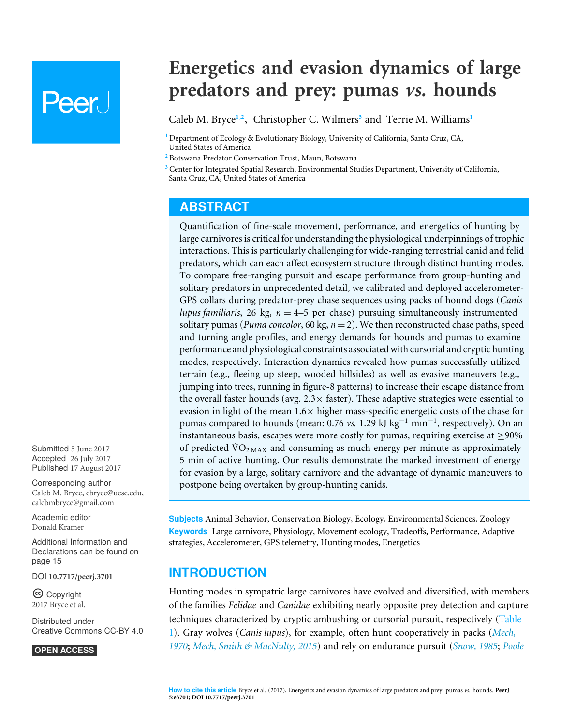# Peer J

## **Energetics and evasion dynamics of large predators and prey: pumas** *vs.* **hounds**

<span id="page-0-5"></span><span id="page-0-4"></span><span id="page-0-3"></span>Caleb M. Bryce**[1](#page-0-0)**,**[2](#page-0-1)** , Christopher C. Wilmers**[3](#page-0-2)** and Terrie M. Williams**[1](#page-0-0)**

<span id="page-0-0"></span>**<sup>1</sup>** Department of Ecology & Evolutionary Biology, University of California, Santa Cruz, CA, United States of America

<span id="page-0-1"></span>**<sup>2</sup>** Botswana Predator Conservation Trust, Maun, Botswana

<span id="page-0-2"></span>**<sup>3</sup>** Center for Integrated Spatial Research, Environmental Studies Department, University of California, Santa Cruz, CA, United States of America

### **ABSTRACT**

Quantification of fine-scale movement, performance, and energetics of hunting by large carnivores is critical for understanding the physiological underpinnings of trophic interactions. This is particularly challenging for wide-ranging terrestrial canid and felid predators, which can each affect ecosystem structure through distinct hunting modes. To compare free-ranging pursuit and escape performance from group-hunting and solitary predators in unprecedented detail, we calibrated and deployed accelerometer-GPS collars during predator-prey chase sequences using packs of hound dogs (*Canis lupus familiaris*, 26 kg, *n* = 4–5 per chase) pursuing simultaneously instrumented solitary pumas (*Puma concolor*, 60 kg, *n* = 2). We then reconstructed chase paths, speed and turning angle profiles, and energy demands for hounds and pumas to examine performance and physiological constraints associated with cursorial and cryptic hunting modes, respectively. Interaction dynamics revealed how pumas successfully utilized terrain (e.g., fleeing up steep, wooded hillsides) as well as evasive maneuvers (e.g., jumping into trees, running in figure-8 patterns) to increase their escape distance from the overall faster hounds (avg.  $2.3 \times$  faster). These adaptive strategies were essential to evasion in light of the mean  $1.6\times$  higher mass-specific energetic costs of the chase for pumas compared to hounds (mean: 0.76 *vs*. 1.29 kJ kg<sup>-1</sup> min<sup>-1</sup>, respectively). On an instantaneous basis, escapes were more costly for pumas, requiring exercise at  $\geq$ 90% of predicted  $\rm \dot{VO}_{2~\rm MAX}$  and consuming as much energy per minute as approximately 5 min of active hunting. Our results demonstrate the marked investment of energy for evasion by a large, solitary carnivore and the advantage of dynamic maneuvers to postpone being overtaken by group-hunting canids.

**Subjects** Animal Behavior, Conservation Biology, Ecology, Environmental Sciences, Zoology **Keywords** Large carnivore, Physiology, Movement ecology, Tradeoffs, Performance, Adaptive strategies, Accelerometer, GPS telemetry, Hunting modes, Energetics

### **INTRODUCTION**

Hunting modes in sympatric large carnivores have evolved and diversified, with members of the families *Felidae* and *Canidae* exhibiting nearly opposite prey detection and capture techniques characterized by cryptic ambushing or cursorial pursuit, respectively [\(Table](#page-1-0) [1\)](#page-1-0). Gray wolves (*Canis lupus*), for example, often hunt cooperatively in packs (*[Mech,](#page-19-0) [1970](#page-19-0)*; *[Mech, Smith & MacNulty, 2015](#page-19-1)*) and rely on endurance pursuit (*[Snow, 1985](#page-21-0)*; *[Poole](#page-19-2)*

Submitted 5 June 2017 Accepted 26 July 2017 Published 17 August 2017

Corresponding author Caleb M. Bryce, [cbryce@ucsc.edu,](mailto:cbryce@ucsc.edu) [calebmbryce@gmail.com](mailto:calebmbryce@gmail.com)

[Academic editor](https://peerj.com/academic-boards/editors/) [Donald Kramer](https://peerj.com/academic-boards/editors/)

[Additional Information and](#page-14-0) [Declarations can be found on](#page-14-0) [page 15](#page-14-0)

DOI **[10.7717/peerj.3701](http://dx.doi.org/10.7717/peerj.3701)**

Copyright 2017 Bryce et al.

[Distributed under](http://creativecommons.org/licenses/by/4.0/) [Creative Commons CC-BY 4.0](http://creativecommons.org/licenses/by/4.0/)

**OPEN ACCESS**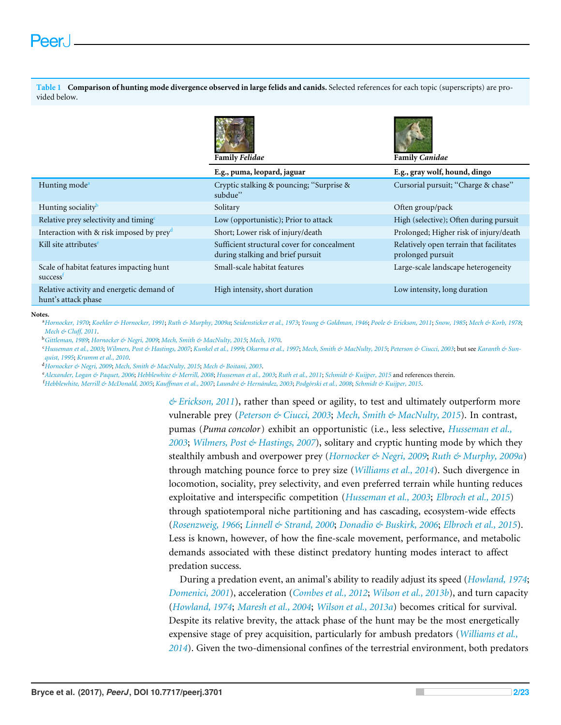<span id="page-1-0"></span>**Table 1 Comparison of hunting mode divergence observed in large felids and canids.** Selected references for each topic (superscripts) are provided below.





|                                                                  | <b>Family Felidae</b>                                                            | <b>Family Canidae</b>                                                            |  |
|------------------------------------------------------------------|----------------------------------------------------------------------------------|----------------------------------------------------------------------------------|--|
|                                                                  | E.g., puma, leopard, jaguar                                                      | E.g., gray wolf, hound, dingo                                                    |  |
| Hunting mode <sup>a</sup>                                        | Cryptic stalking & pouncing; "Surprise &<br>subdue"                              | Cursorial pursuit; "Charge & chase"                                              |  |
| Hunting sociality <sup>b</sup>                                   | Solitary                                                                         | Often group/pack                                                                 |  |
| Relative prey selectivity and timing <sup>c</sup>                | Low (opportunistic); Prior to attack                                             | High (selective); Often during pursuit<br>Prolonged; Higher risk of injury/death |  |
| Interaction with $\&$ risk imposed by preyd                      | Short; Lower risk of injury/death                                                |                                                                                  |  |
| Kill site attributes <sup>e</sup>                                | Sufficient structural cover for concealment<br>during stalking and brief pursuit | Relatively open terrain that facilitates<br>prolonged pursuit                    |  |
| Scale of habitat features impacting hunt<br>success <sup>t</sup> | Small-scale habitat features                                                     | Large-scale landscape heterogeneity                                              |  |
| Relative activity and energetic demand of<br>hunt's attack phase | High intensity, short duration                                                   | Low intensity, long duration                                                     |  |

#### <span id="page-1-1"></span>**Notes.**

<sup>a</sup>[Hornocker, 1970](#page-17-0); [Koehler & Hornocker, 1991](#page-18-0); [Ruth & Murphy, 2009a](#page-20-0); [Seidensticker et al., 1973](#page-20-1); [Young & Goldman, 1946](#page-22-0); [Poole & Erickson, 2011](#page-19-2); [Snow, 1985](#page-21-0); [Mech & Korb, 1978](#page-19-3); *[Mech & Cluff, 2011](#page-19-4)*.

<span id="page-1-2"></span><sup>b</sup>*[Gittleman, 1989](#page-17-1)*; *[Hornocker & Negri, 2009](#page-17-2)*; *[Mech, Smith & MacNulty, 2015](#page-19-1)*; *[Mech, 1970](#page-19-0)*.

<span id="page-1-3"></span>"[Husseman et al., 2003](#page-17-3); [Wilmers, Post & Hastings, 2007](#page-22-1); [Kunkel et al., 1999](#page-18-1); [Okarma et al., 1997](#page-19-5); [Mech, Smith & MacNulty, 2015](#page-19-1); [Peterson & Ciucci, 2003](#page-19-6); but see [Karanth & Sun](#page-18-2)*[quist, 1995](#page-18-2)*; *[Krumm et al., 2010](#page-18-3)*.

<span id="page-1-4"></span><sup>d</sup>*[Hornocker & Negri, 2009](#page-17-2)*; *[Mech, Smith & MacNulty, 2015](#page-19-1)*; *[Mech & Boitani, 2003](#page-19-7)*.

<span id="page-1-5"></span><sup>e</sup>*[Alexander, Logan & Paquet, 2006](#page-15-0)*; *[Hebblewhite & Merrill, 2008](#page-17-4)*; *[Husseman et al., 2003](#page-17-3)*; *[Ruth et al., 2011](#page-20-2)*; *[Schmidt & Kuijper, 2015](#page-20-3)* and references therein.

<span id="page-1-6"></span><sup>f</sup>*[Hebblewhite, Merrill & McDonald, 2005](#page-17-5)*; *[Kauffman et al., 2007](#page-18-4)*; *[Laundré & Hernández, 2003](#page-18-5)*; *[Podgórski et al., 2008](#page-19-8)*; *[Schmidt & Kuijper, 2015](#page-20-3)*.

*[& Erickson, 2011](#page-19-2)*), rather than speed or agility, to test and ultimately outperform more vulnerable prey (*[Peterson & Ciucci, 2003](#page-19-6)*; *[Mech, Smith & MacNulty, 2015](#page-19-1)*). In contrast, pumas (*Puma concolor*) exhibit an opportunistic (i.e., less selective, *[Husseman et al.,](#page-17-3) [2003](#page-17-3)*; *[Wilmers, Post & Hastings, 2007](#page-22-1)*), solitary and cryptic hunting mode by which they stealthily ambush and overpower prey (*[Hornocker & Negri, 2009](#page-17-2)*; *[Ruth & Murphy, 2009a](#page-20-0)*) through matching pounce force to prey size (*[Williams et al., 2014](#page-22-2)*). Such divergence in locomotion, sociality, prey selectivity, and even preferred terrain while hunting reduces exploitative and interspecific competition (*[Husseman et al., 2003](#page-17-3)*; *[Elbroch et al., 2015](#page-16-0)*) through spatiotemporal niche partitioning and has cascading, ecosystem-wide effects (*[Rosenzweig, 1966](#page-20-4)*; *[Linnell & Strand, 2000](#page-18-6)*; *[Donadio & Buskirk, 2006](#page-16-1)*; *[Elbroch et al., 2015](#page-16-0)*). Less is known, however, of how the fine-scale movement, performance, and metabolic demands associated with these distinct predatory hunting modes interact to affect predation success.

During a predation event, an animal's ability to readily adjust its speed (*[Howland, 1974](#page-17-6)*; *[Domenici, 2001](#page-16-2)*), acceleration (*[Combes et al., 2012](#page-16-3)*; *[Wilson et al., 2013b](#page-22-3)*), and turn capacity (*[Howland, 1974](#page-17-6)*; *[Maresh et al., 2004](#page-19-9)*; *[Wilson et al., 2013a](#page-22-4)*) becomes critical for survival. Despite its relative brevity, the attack phase of the hunt may be the most energetically expensive stage of prey acquisition, particularly for ambush predators (*[Williams et al.,](#page-22-2) [2014](#page-22-2)*). Given the two-dimensional confines of the terrestrial environment, both predators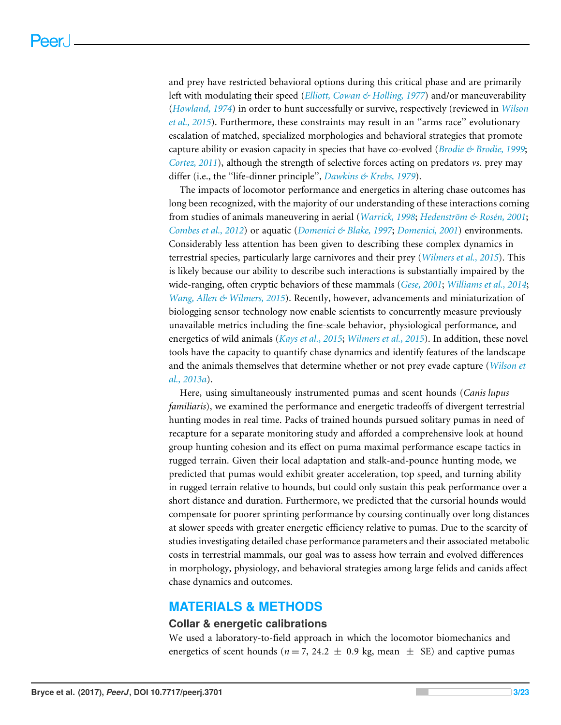and prey have restricted behavioral options during this critical phase and are primarily left with modulating their speed (*[Elliott, Cowan & Holling, 1977](#page-16-4)*) and/or maneuverability (*[Howland, 1974](#page-17-6)*) in order to hunt successfully or survive, respectively (reviewed in *[Wilson](#page-22-5) [et al., 2015](#page-22-5)*). Furthermore, these constraints may result in an ''arms race'' evolutionary escalation of matched, specialized morphologies and behavioral strategies that promote capture ability or evasion capacity in species that have co-evolved (*[Brodie & Brodie, 1999](#page-15-1)*; *[Cortez, 2011](#page-16-5)*), although the strength of selective forces acting on predators *vs.* prey may differ (i.e., the ''life-dinner principle'', *[Dawkins & Krebs, 1979](#page-16-6)*).

The impacts of locomotor performance and energetics in altering chase outcomes has long been recognized, with the majority of our understanding of these interactions coming from studies of animals maneuvering in aerial (*[Warrick, 1998](#page-21-1)*; *[Hedenström & Rosén, 2001](#page-17-7)*; *[Combes et al., 2012](#page-16-3)*) or aquatic (*[Domenici & Blake, 1997](#page-16-7)*; *[Domenici, 2001](#page-16-2)*) environments. Considerably less attention has been given to describing these complex dynamics in terrestrial species, particularly large carnivores and their prey (*[Wilmers et al., 2015](#page-22-6)*). This is likely because our ability to describe such interactions is substantially impaired by the wide-ranging, often cryptic behaviors of these mammals (*[Gese, 2001](#page-16-8)*; *[Williams et al., 2014](#page-22-2)*; *[Wang, Allen & Wilmers, 2015](#page-21-2)*). Recently, however, advancements and miniaturization of biologging sensor technology now enable scientists to concurrently measure previously unavailable metrics including the fine-scale behavior, physiological performance, and energetics of wild animals (*[Kays et al., 2015](#page-18-7)*; *[Wilmers et al., 2015](#page-22-6)*). In addition, these novel tools have the capacity to quantify chase dynamics and identify features of the landscape and the animals themselves that determine whether or not prey evade capture (*[Wilson et](#page-22-4) [al., 2013a](#page-22-4)*).

Here, using simultaneously instrumented pumas and scent hounds (*Canis lupus familiaris*), we examined the performance and energetic tradeoffs of divergent terrestrial hunting modes in real time. Packs of trained hounds pursued solitary pumas in need of recapture for a separate monitoring study and afforded a comprehensive look at hound group hunting cohesion and its effect on puma maximal performance escape tactics in rugged terrain. Given their local adaptation and stalk-and-pounce hunting mode, we predicted that pumas would exhibit greater acceleration, top speed, and turning ability in rugged terrain relative to hounds, but could only sustain this peak performance over a short distance and duration. Furthermore, we predicted that the cursorial hounds would compensate for poorer sprinting performance by coursing continually over long distances at slower speeds with greater energetic efficiency relative to pumas. Due to the scarcity of studies investigating detailed chase performance parameters and their associated metabolic costs in terrestrial mammals, our goal was to assess how terrain and evolved differences in morphology, physiology, and behavioral strategies among large felids and canids affect chase dynamics and outcomes.

#### **MATERIALS & METHODS**

#### **Collar & energetic calibrations**

We used a laboratory-to-field approach in which the locomotor biomechanics and energetics of scent hounds ( $n = 7$ , 24.2  $\pm$  0.9 kg, mean  $\pm$  SE) and captive pumas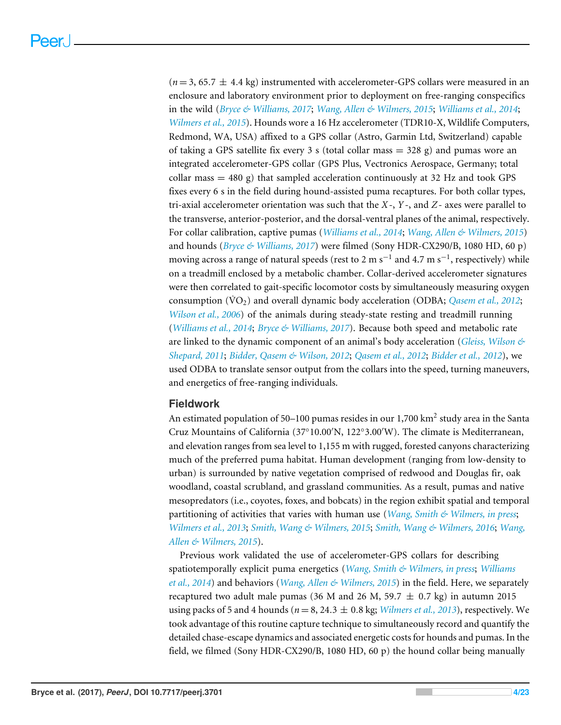$(n=3, 65.7 \pm 4.4 \text{ kg})$  instrumented with accelerometer-GPS collars were measured in an enclosure and laboratory environment prior to deployment on free-ranging conspecifics in the wild (*[Bryce & Williams, 2017](#page-16-9)*; *[Wang, Allen & Wilmers, 2015](#page-21-2)*; *[Williams et al., 2014](#page-22-2)*; *[Wilmers et al., 2015](#page-22-6)*). Hounds wore a 16 Hz accelerometer (TDR10-X, Wildlife Computers, Redmond, WA, USA) affixed to a GPS collar (Astro, Garmin Ltd, Switzerland) capable of taking a GPS satellite fix every 3 s (total collar mass = 328 g) and pumas wore an integrated accelerometer-GPS collar (GPS Plus, Vectronics Aerospace, Germany; total collar mass  $= 480 \text{ g}$ ) that sampled acceleration continuously at 32 Hz and took GPS fixes every 6 s in the field during hound-assisted puma recaptures. For both collar types, tri-axial accelerometer orientation was such that the *X*-, *Y* -, and *Z*- axes were parallel to the transverse, anterior-posterior, and the dorsal-ventral planes of the animal, respectively. For collar calibration, captive pumas (*[Williams et al., 2014](#page-22-2)*; *[Wang, Allen & Wilmers, 2015](#page-21-2)*) and hounds (*[Bryce & Williams, 2017](#page-16-9)*) were filmed (Sony HDR-CX290/B, 1080 HD, 60 p) moving across a range of natural speeds (rest to 2 m s $^{-1}$  and 4.7 m s $^{-1}$ , respectively) while on a treadmill enclosed by a metabolic chamber. Collar-derived accelerometer signatures were then correlated to gait-specific locomotor costs by simultaneously measuring oxygen consumption (VO<sub>2</sub>) and overall dynamic body acceleration (ODBA; *[Qasem et al., 2012](#page-19-10)*; *[Wilson et al., 2006](#page-22-7)*) of the animals during steady-state resting and treadmill running (*[Williams et al., 2014](#page-22-2)*; *[Bryce & Williams, 2017](#page-16-9)*). Because both speed and metabolic rate are linked to the dynamic component of an animal's body acceleration (*[Gleiss, Wilson &](#page-17-8) [Shepard, 2011](#page-17-8)*; *[Bidder, Qasem & Wilson, 2012](#page-15-2)*; *[Qasem et al., 2012](#page-19-10)*; *[Bidder et al., 2012](#page-15-3)*), we used ODBA to translate sensor output from the collars into the speed, turning maneuvers, and energetics of free-ranging individuals.

#### **Fieldwork**

An estimated population of 50–100 pumas resides in our 1,700 km $^2$  study area in the Santa Cruz Mountains of California (37°10.00'N, 122°3.00'W). The climate is Mediterranean, and elevation ranges from sea level to 1,155 m with rugged, forested canyons characterizing much of the preferred puma habitat. Human development (ranging from low-density to urban) is surrounded by native vegetation comprised of redwood and Douglas fir, oak woodland, coastal scrubland, and grassland communities. As a result, pumas and native mesopredators (i.e., coyotes, foxes, and bobcats) in the region exhibit spatial and temporal partitioning of activities that varies with human use (*[Wang, Smith & Wilmers, in press](#page-21-3)*; *[Wilmers et al., 2013](#page-22-8)*; *[Smith, Wang & Wilmers, 2015](#page-20-5)*; *[Smith, Wang & Wilmers, 2016](#page-21-4)*; *[Wang,](#page-21-2) [Allen & Wilmers, 2015](#page-21-2)*).

Previous work validated the use of accelerometer-GPS collars for describing spatiotemporally explicit puma energetics (*[Wang, Smith & Wilmers, in press](#page-21-3)*; *[Williams](#page-22-2) [et al., 2014](#page-22-2)*) and behaviors (*[Wang, Allen & Wilmers, 2015](#page-21-2)*) in the field. Here, we separately recaptured two adult male pumas (36 M and 26 M, 59.7  $\pm$  0.7 kg) in autumn 2015 using packs of 5 and 4 hounds ( $n = 8, 24.3 \pm 0.8$  kg; *[Wilmers et al., 2013](#page-22-8)*), respectively. We took advantage of this routine capture technique to simultaneously record and quantify the detailed chase-escape dynamics and associated energetic costs for hounds and pumas. In the field, we filmed (Sony HDR-CX290/B, 1080 HD, 60 p) the hound collar being manually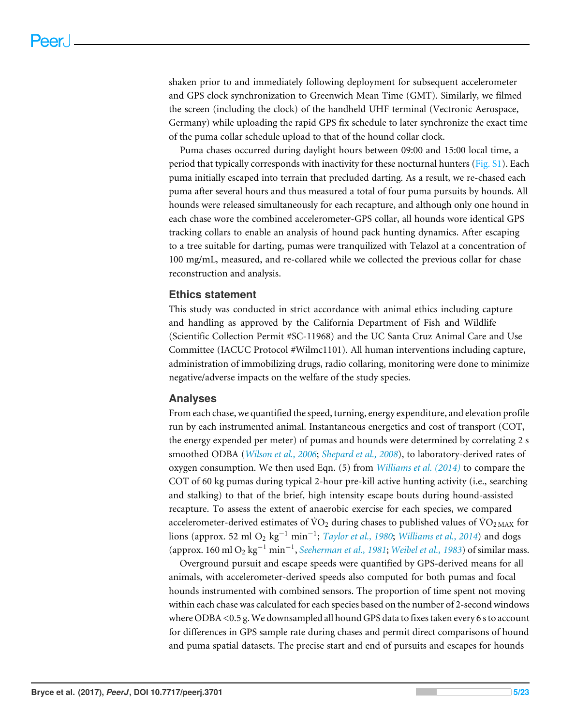shaken prior to and immediately following deployment for subsequent accelerometer and GPS clock synchronization to Greenwich Mean Time (GMT). Similarly, we filmed the screen (including the clock) of the handheld UHF terminal (Vectronic Aerospace, Germany) while uploading the rapid GPS fix schedule to later synchronize the exact time of the puma collar schedule upload to that of the hound collar clock.

Puma chases occurred during daylight hours between 09:00 and 15:00 local time, a period that typically corresponds with inactivity for these nocturnal hunters [\(Fig. S1\)](http://dx.doi.org/10.7717/peerj.3701#supp-3). Each puma initially escaped into terrain that precluded darting. As a result, we re-chased each puma after several hours and thus measured a total of four puma pursuits by hounds. All hounds were released simultaneously for each recapture, and although only one hound in each chase wore the combined accelerometer-GPS collar, all hounds wore identical GPS tracking collars to enable an analysis of hound pack hunting dynamics. After escaping to a tree suitable for darting, pumas were tranquilized with Telazol at a concentration of 100 mg/mL, measured, and re-collared while we collected the previous collar for chase reconstruction and analysis.

#### **Ethics statement**

This study was conducted in strict accordance with animal ethics including capture and handling as approved by the California Department of Fish and Wildlife (Scientific Collection Permit #SC-11968) and the UC Santa Cruz Animal Care and Use Committee (IACUC Protocol #Wilmc1101). All human interventions including capture, administration of immobilizing drugs, radio collaring, monitoring were done to minimize negative/adverse impacts on the welfare of the study species.

#### **Analyses**

From each chase, we quantified the speed, turning, energy expenditure, and elevation profile run by each instrumented animal. Instantaneous energetics and cost of transport (COT, the energy expended per meter) of pumas and hounds were determined by correlating 2 s smoothed ODBA (*[Wilson et al., 2006](#page-22-7)*; *[Shepard et al., 2008](#page-20-6)*), to laboratory-derived rates of oxygen consumption. We then used Eqn. (5) from *[Williams et al. \(2014\)](#page-22-2)* to compare the COT of 60 kg pumas during typical 2-hour pre-kill active hunting activity (i.e., searching and stalking) to that of the brief, high intensity escape bouts during hound-assisted recapture. To assess the extent of anaerobic exercise for each species, we compared accelerometer-derived estimates of  $\rm \dot{V}O_2$  during chases to published values of  $\rm \dot{V}O_{2\,MAX}$  for lions (approx. 52 ml O<sup>2</sup> kg−<sup>1</sup> min−<sup>1</sup> ; *[Taylor et al., 1980](#page-21-5)*; *[Williams et al., 2014](#page-22-2)*) and dogs (approx. 160 ml O<sup>2</sup> kg−<sup>1</sup> min−<sup>1</sup> , *[Seeherman et al., 1981](#page-20-7)*; *[Weibel et al., 1983](#page-21-6)*) of similar mass.

Overground pursuit and escape speeds were quantified by GPS-derived means for all animals, with accelerometer-derived speeds also computed for both pumas and focal hounds instrumented with combined sensors. The proportion of time spent not moving within each chase was calculated for each species based on the number of 2-second windows where ODBA <0.5 g.We downsampled all hound GPS data to fixes taken every 6 s to account for differences in GPS sample rate during chases and permit direct comparisons of hound and puma spatial datasets. The precise start and end of pursuits and escapes for hounds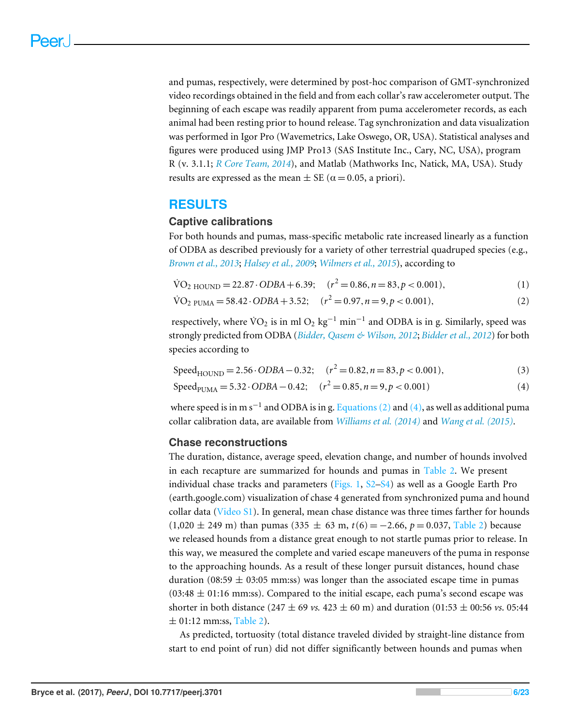and pumas, respectively, were determined by post-hoc comparison of GMT-synchronized video recordings obtained in the field and from each collar's raw accelerometer output. The beginning of each escape was readily apparent from puma accelerometer records, as each animal had been resting prior to hound release. Tag synchronization and data visualization was performed in Igor Pro (Wavemetrics, Lake Oswego, OR, USA). Statistical analyses and figures were produced using JMP Pro13 (SAS Institute Inc., Cary, NC, USA), program R (v. 3.1.1; *[R Core Team, 2014](#page-19-11)*), and Matlab (Mathworks Inc, Natick, MA, USA). Study results are expressed as the mean  $\pm$  SE ( $\alpha$  = 0.05, a priori).

### **RESULTS**

#### **Captive calibrations**

For both hounds and pumas, mass-specific metabolic rate increased linearly as a function of ODBA as described previously for a variety of other terrestrial quadruped species (e.g., *[Brown et al., 2013](#page-16-10)*; *[Halsey et al., 2009](#page-17-9)*; *[Wilmers et al., 2015](#page-22-6)*), according to

$$
\text{VO}_2 \text{ HOUND} = 22.87 \cdot \text{ODBA} + 6.39; \quad (r^2 = 0.86, n = 83, p < 0.001), \tag{1}
$$

<span id="page-5-0"></span>
$$
\text{VO}_2 \text{ PUMA} = 58.42 \cdot ODBA + 3.52; \quad (r^2 = 0.97, n = 9, p < 0.001), \tag{2}
$$

respectively, where  $\rm \dot{VO}_2$  is in ml  $\rm O_2$   $\rm kg^{-1}$  min $^{-1}$  and ODBA is in g. Similarly, speed was strongly predicted from ODBA (*[Bidder, Qasem & Wilson, 2012](#page-15-2)*; *[Bidder et al., 2012](#page-15-3)*) for both species according to

<span id="page-5-2"></span>
$$
Speed_{HOUND} = 2.56 \cdot ODBA - 0.32; \quad (r^2 = 0.82, n = 83, p < 0.001), \tag{3}
$$

<span id="page-5-1"></span>
$$
SpeedPUMA = 5.32 \cdot ODBA - 0.42; \quad (r2 = 0.85, n = 9, p < 0.001)
$$
 (4)

where speed is in m s<sup>-1</sup> and ODBA is in g. [Equations \(2\)](#page-5-0) and [\(4\),](#page-5-1) as well as additional puma collar calibration data, are available from *[Williams et al. \(2014\)](#page-22-2)* and *[Wang et al. \(2015\)](#page-21-7)*.

#### **Chase reconstructions**

The duration, distance, average speed, elevation change, and number of hounds involved in each recapture are summarized for hounds and pumas in [Table 2.](#page-6-0) We present individual chase tracks and parameters (Figs.  $1, S2-S4$  $1, S2-S4$  $1, S2-S4$ ) as well as a Google Earth Pro (earth.google.com) visualization of chase 4 generated from synchronized puma and hound collar data [\(Video S1\)](http://dx.doi.org/10.7717/peerj.3701#supp-1). In general, mean chase distance was three times farther for hounds  $(1,020 \pm 249 \text{ m})$  than pumas  $(335 \pm 63 \text{ m}, t(6) = -2.66, p = 0.037,$  [Table 2\)](#page-6-0) because we released hounds from a distance great enough to not startle pumas prior to release. In this way, we measured the complete and varied escape maneuvers of the puma in response to the approaching hounds. As a result of these longer pursuit distances, hound chase duration (08:59  $\pm$  03:05 mm:ss) was longer than the associated escape time in pumas  $(03:48 \pm 01:16 \text{ mm:ss})$ . Compared to the initial escape, each puma's second escape was shorter in both distance (247  $\pm$  69 *vs.* 423  $\pm$  60 m) and duration (01:53  $\pm$  00:56 *vs.* 05:44  $\pm$  01:12 mm:ss, [Table 2\)](#page-6-0).

As predicted, tortuosity (total distance traveled divided by straight-line distance from start to end point of run) did not differ significantly between hounds and pumas when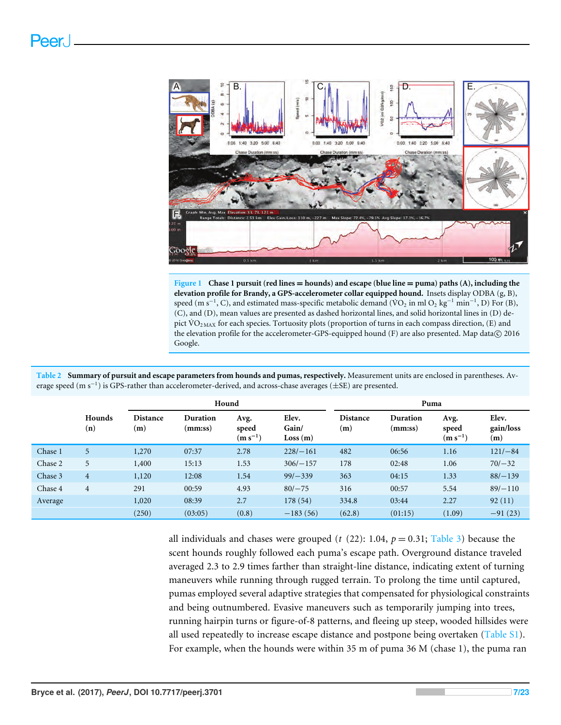<span id="page-6-1"></span>

**Figure 1 Chase 1 pursuit (red lines** = **hounds) and escape (blue line** = **puma) paths (A), including the elevation profile for Brandy, a GPS-accelerometer collar equipped hound.** Insets display ODBA (g, B), speed (m s<sup>-1</sup>, C), and estimated mass-specific metabolic demand (VO<sub>2</sub> in ml O<sub>2</sub> kg<sup>-1</sup> min<sup>-1</sup>, D) For (B), (C), and (D), mean values are presented as dashed horizontal lines, and solid horizontal lines in (D) depict VO<sub>2MAX</sub> for each species. Tortuosity plots (proportion of turns in each compass direction, (E) and the elevation profile for the accelerometer-GPS-equipped hound  $(F)$  are also presented. Map data $\odot$  2016 Google.

<span id="page-6-0"></span>

| Table 2 Summary of pursuit and escape parameters from hounds and pumas, respectively. Measurement units are enclosed in parentheses. Av- |
|------------------------------------------------------------------------------------------------------------------------------------------|
| erage speed (m s <sup>-1</sup> ) is GPS-rather than accelerometer-derived, and across-chase averages ( $\pm$ SE) are presented.          |

|         |                | Hound                             |                     |                               | Puma                      |                        |                     |                               |                           |
|---------|----------------|-----------------------------------|---------------------|-------------------------------|---------------------------|------------------------|---------------------|-------------------------------|---------------------------|
|         | Hounds<br>(n)  | <b>Distance</b><br>$\mathbf{(m)}$ | Duration<br>(mm:ss) | Avg.<br>speed<br>$(m s^{-1})$ | Elev.<br>Gain/<br>Loss(m) | <b>Distance</b><br>(m) | Duration<br>(mm:ss) | Avg.<br>speed<br>$(m s^{-1})$ | Elev.<br>gain/loss<br>(m) |
| Chase 1 | 5              | 1,270                             | 07:37               | 2.78                          | $228/-161$                | 482                    | 06:56               | 1.16                          | $121/-84$                 |
| Chase 2 | 5              | 1,400                             | 15:13               | 1.53                          | $306/-157$                | 178                    | 02:48               | 1.06                          | $70/-32$                  |
| Chase 3 | $\overline{4}$ | 1,120                             | 12:08               | 1.54                          | $99/-339$                 | 363                    | 04:15               | 1.33                          | $88/-139$                 |
| Chase 4 | $\overline{4}$ | 291                               | 00:59               | 4.93                          | $80/-75$                  | 316                    | 00:57               | 5.54                          | $89/-110$                 |
| Average |                | 1,020                             | 08:39               | 2.7                           | 178(54)                   | 334.8                  | 03:44               | 2.27                          | 92(11)                    |
|         |                | (250)                             | (03:05)             | (0.8)                         | $-183(56)$                | (62.8)                 | (01:15)             | (1.09)                        | $-91(23)$                 |

all individuals and chases were grouped ( $t$  (22): 1.04,  $p = 0.31$ ; [Table 3\)](#page-7-0) because the scent hounds roughly followed each puma's escape path. Overground distance traveled averaged 2.3 to 2.9 times farther than straight-line distance, indicating extent of turning maneuvers while running through rugged terrain. To prolong the time until captured, pumas employed several adaptive strategies that compensated for physiological constraints and being outnumbered. Evasive maneuvers such as temporarily jumping into trees, running hairpin turns or figure-of-8 patterns, and fleeing up steep, wooded hillsides were all used repeatedly to increase escape distance and postpone being overtaken [\(Table S1\)](http://dx.doi.org/10.7717/peerj.3701#supp-2). For example, when the hounds were within 35 m of puma 36 M (chase 1), the puma ran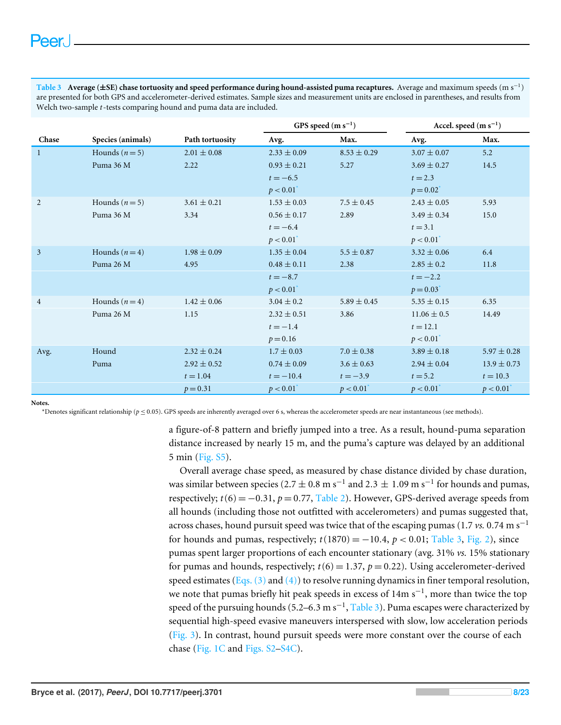<span id="page-7-0"></span>**Table 3 Average (**±**SE) chase tortuosity and speed performance during hound-assisted puma recaptures.** Average and maximum speeds (m s<sup>−</sup><sup>1</sup> ) are presented for both GPS and accelerometer-derived estimates. Sample sizes and measurement units are enclosed in parentheses, and results from Welch two-sample *t*-tests comparing hound and puma data are included.

|                |                   |                 | GPS speed $(m s^{-1})$ |                 | Accel. speed $(m s^{-1})$ |                 |
|----------------|-------------------|-----------------|------------------------|-----------------|---------------------------|-----------------|
| Chase          | Species (animals) | Path tortuosity | Avg.                   | Max.            | Avg.                      | Max.            |
| $\mathbf{1}$   | Hounds $(n=5)$    | $2.01 \pm 0.08$ | $2.33 \pm 0.09$        | $8.53 \pm 0.29$ | $3.07 \pm 0.07$           | 5.2             |
|                | Puma 36 M         | 2.22            | $0.93 \pm 0.21$        | 5.27            | $3.69 \pm 0.27$           | 14.5            |
|                |                   |                 | $t = -6.5$             |                 | $t = 2.3$                 |                 |
|                |                   |                 | p < 0.01               |                 | $p = 0.02^{\degree}$      |                 |
| 2              | Hounds $(n=5)$    | $3.61 \pm 0.21$ | $1.53 \pm 0.03$        | $7.5 \pm 0.45$  | $2.43 \pm 0.05$           | 5.93            |
|                | Puma 36 M         | 3.34            | $0.56 \pm 0.17$        | 2.89            | $3.49 \pm 0.34$           | 15.0            |
|                |                   |                 | $t = -6.4$             |                 | $t = 3.1$                 |                 |
|                |                   |                 | $p < 0.01^*$           |                 | $p < 0.01^*$              |                 |
| 3              | Hounds $(n=4)$    | $1.98 \pm 0.09$ | $1.35 \pm 0.04$        | $5.5 \pm 0.87$  | $3.32 \pm 0.06$           | 6.4             |
|                | Puma 26 M         | 4.95            | $0.48 \pm 0.11$        | 2.38            | $2.85 \pm 0.2$            | 11.8            |
|                |                   |                 | $t = -8.7$             |                 | $t = -2.2$                |                 |
|                |                   |                 | p < 0.01               |                 | $p = 0.03$                |                 |
| $\overline{4}$ | Hounds $(n=4)$    | $1.42 \pm 0.06$ | $3.04 \pm 0.2$         | $5.89 \pm 0.45$ | $5.35 \pm 0.15$           | 6.35            |
|                | Puma 26 M         | 1.15            | $2.32 \pm 0.51$        | 3.86            | $11.06 \pm 0.5$           | 14.49           |
|                |                   |                 | $t = -1.4$             |                 | $t = 12.1$                |                 |
|                |                   |                 | $p = 0.16$             |                 | p < 0.01                  |                 |
| Avg.           | Hound             | $2.32 \pm 0.24$ | $1.7 \pm 0.03$         | $7.0 \pm 0.38$  | $3.89 \pm 0.18$           | $5.97 \pm 0.28$ |
|                | Puma              | $2.92 \pm 0.52$ | $0.74 \pm 0.09$        | $3.6 \pm 0.63$  | $2.94 \pm 0.04$           | $13.9 \pm 0.73$ |
|                |                   | $t = 1.04$      | $t = -10.4$            | $t = -3.9$      | $t = 5.2$                 | $t = 10.3$      |
|                |                   | $p = 0.31$      | p < 0.01               | p < 0.01        | p < 0.01                  | p < 0.01        |

<span id="page-7-1"></span>**Notes.**

\*Denotes significant relationship (*p* ≤ 0.05). GPS speeds are inherently averaged over 6 s, whereas the accelerometer speeds are near instantaneous (see methods).

a figure-of-8 pattern and briefly jumped into a tree. As a result, hound-puma separation distance increased by nearly 15 m, and the puma's capture was delayed by an additional 5 min [\(Fig. S5\)](http://dx.doi.org/10.7717/peerj.3701#supp-7).

Overall average chase speed, as measured by chase distance divided by chase duration, was similar between species (2.7  $\pm$  0.8 m s<sup>-1</sup> and 2.3  $\pm$  1.09 m s<sup>-1</sup> for hounds and pumas, respectively;  $t(6) = -0.31$ ,  $p = 0.77$ , [Table 2\)](#page-6-0). However, GPS-derived average speeds from all hounds (including those not outfitted with accelerometers) and pumas suggested that, across chases, hound pursuit speed was twice that of the escaping pumas (1.7 *vs.* 0.74 m s−<sup>1</sup> for hounds and pumas, respectively;  $t(1870) = -10.4$ ,  $p < 0.01$ ; [Table 3,](#page-7-0) [Fig. 2\)](#page-8-0), since pumas spent larger proportions of each encounter stationary (avg. 31% *vs.* 15% stationary for pumas and hounds, respectively;  $t(6) = 1.37$ ,  $p = 0.22$ ). Using accelerometer-derived speed estimates (Eqs.  $(3)$  and  $(4)$ ) to resolve running dynamics in finer temporal resolution, we note that pumas briefly hit peak speeds in excess of 14m s<sup>-1</sup>, more than twice the top speed of the pursuing hounds (5.2–6.3 m s<sup>-1</sup>, [Table 3\)](#page-7-0). Puma escapes were characterized by sequential high-speed evasive maneuvers interspersed with slow, low acceleration periods [\(Fig. 3\)](#page-9-0). In contrast, hound pursuit speeds were more constant over the course of each chase [\(Fig. 1C](#page-6-1) and [Figs. S2](http://dx.doi.org/10.7717/peerj.3701#supp-4)[–S4C\)](http://dx.doi.org/10.7717/peerj.3701#supp-6).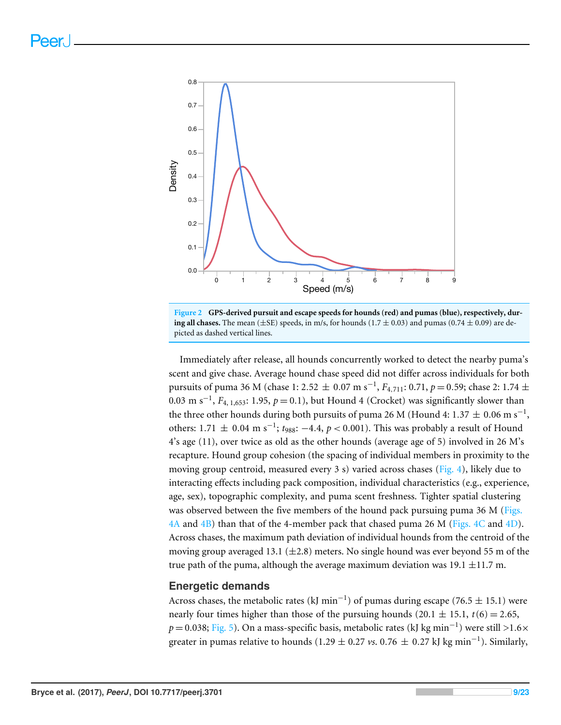<span id="page-8-0"></span>



Immediately after release, all hounds concurrently worked to detect the nearby puma's scent and give chase. Average hound chase speed did not differ across individuals for both pursuits of puma 36 M (chase 1: 2.52 ± 0.07 m s<sup>−1</sup>,  $F_{4,711}$ : 0.71,  $p =$  0.59; chase 2: 1.74 ± 0.03 m s<sup>-1</sup>,  $F_{4, 1,653}$ : 1.95,  $p = 0.1$ ), but Hound 4 (Crocket) was significantly slower than the three other hounds during both pursuits of puma 26 M (Hound 4: 1.37  $\pm$  0.06 m s<sup>-1</sup>, others:  $1.71 \pm 0.04$  m s<sup>-1</sup>;  $t_{988}$ : -4.4,  $p < 0.001$ ). This was probably a result of Hound 4's age (11), over twice as old as the other hounds (average age of 5) involved in 26 M's recapture. Hound group cohesion (the spacing of individual members in proximity to the moving group centroid, measured every 3 s) varied across chases [\(Fig. 4\)](#page-10-0), likely due to interacting effects including pack composition, individual characteristics (e.g., experience, age, sex), topographic complexity, and puma scent freshness. Tighter spatial clustering was observed between the five members of the hound pack pursuing puma 36 M [\(Figs.](#page-10-0) [4A](#page-10-0) and [4B\)](#page-10-0) than that of the 4-member pack that chased puma 26 M [\(Figs. 4C](#page-10-0) and [4D\)](#page-10-0). Across chases, the maximum path deviation of individual hounds from the centroid of the moving group averaged 13.1 ( $\pm$ 2.8) meters. No single hound was ever beyond 55 m of the true path of the puma, although the average maximum deviation was 19.1  $\pm$ 11.7 m.

#### **Energetic demands**

Across chases, the metabolic rates (kJ min<sup>-1</sup>) of pumas during escape (76.5  $\pm$  15.1) were nearly four times higher than those of the pursuing hounds (20.1  $\pm$  15.1, *t*(6) = 2.65, *p* = 0.038; [Fig. 5\)](#page-11-0). On a mass-specific basis, metabolic rates (kJ kg min<sup>−1</sup>) were still >1.6× greater in pumas relative to hounds (1.29  $\pm$  0.27 *vs*. 0.76  $\pm$  0.27 kJ kg min<sup>-1</sup>). Similarly,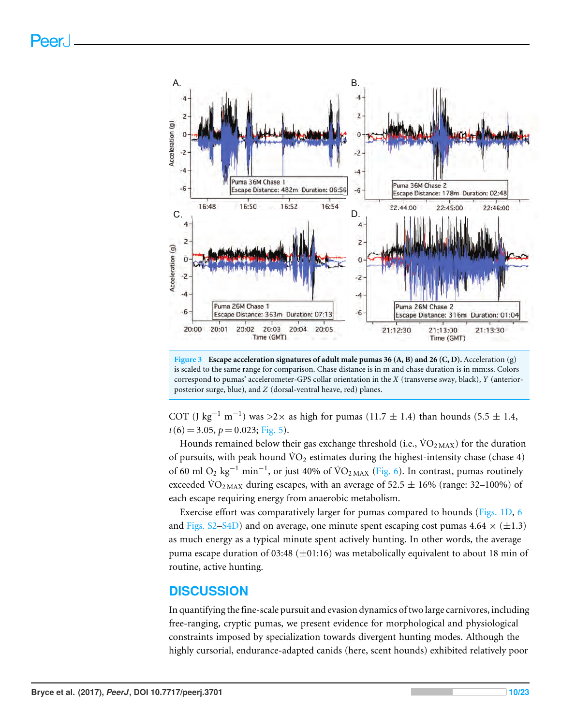<span id="page-9-0"></span>

**Figure 3 Escape acceleration signatures of adult male pumas 36 (A, B) and 26 (C, D).** Acceleration (g) is scaled to the same range for comparison. Chase distance is in m and chase duration is in mm:ss. Colors correspond to pumas' accelerometer-GPS collar orientation in the *X* (transverse sway, black), *Y* (anteriorposterior surge, blue), and *Z* (dorsal-ventral heave, red) planes.

COT (J kg<sup>-1</sup> m<sup>-1</sup>) was >2× as high for pumas (11.7  $\pm$  1.4) than hounds (5.5  $\pm$  1.4,  $t(6) = 3.05, p = 0.023;$  [Fig. 5\)](#page-11-0).

Hounds remained below their gas exchange threshold (i.e.,  $\dot{V}O_{2MAX}$ ) for the duration of pursuits, with peak hound  $\rm \dot{VO}_2$  estimates during the highest-intensity chase (chase 4) of 60 ml O<sub>2</sub> kg<sup>-1</sup> min<sup>-1</sup>, or just 40% of  $\rm \dot{VO}_{2MAX}$  [\(Fig. 6\)](#page-12-0). In contrast, pumas routinely exceeded  $\rm \dot{VO}_{2~\rm MAX}$  during escapes, with an average of 52.5  $\pm$  16% (range: 32–100%) of each escape requiring energy from anaerobic metabolism.

Exercise effort was comparatively larger for pumas compared to hounds [\(Figs. 1D,](#page-6-1) [6](#page-12-0) and [Figs. S2](http://dx.doi.org/10.7717/peerj.3701#supp-4)[–S4D\)](http://dx.doi.org/10.7717/peerj.3701#supp-6) and on average, one minute spent escaping cost pumas  $4.64 \times (\pm 1.3)$ as much energy as a typical minute spent actively hunting. In other words, the average puma escape duration of 03:48 ( $\pm$ 01:16) was metabolically equivalent to about 18 min of routine, active hunting.

#### **DISCUSSION**

In quantifying the fine-scale pursuit and evasion dynamics of two large carnivores, including free-ranging, cryptic pumas, we present evidence for morphological and physiological constraints imposed by specialization towards divergent hunting modes. Although the highly cursorial, endurance-adapted canids (here, scent hounds) exhibited relatively poor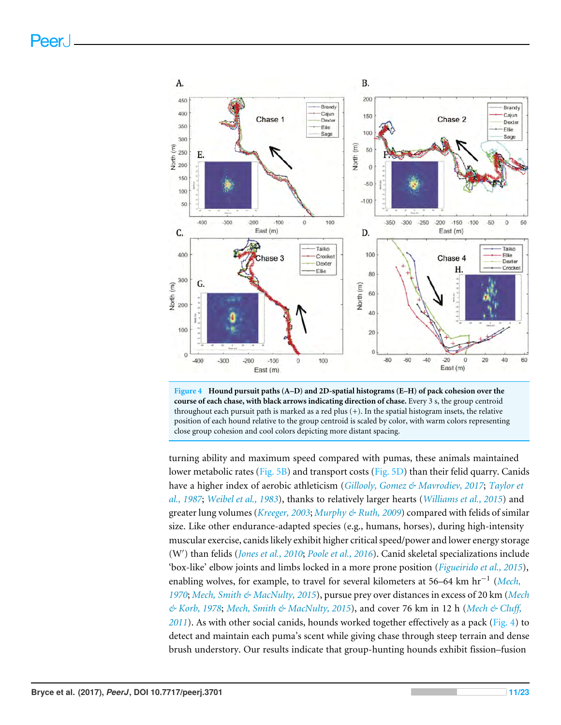<span id="page-10-0"></span>



turning ability and maximum speed compared with pumas, these animals maintained lower metabolic rates [\(Fig. 5B\)](#page-11-0) and transport costs [\(Fig. 5D\)](#page-11-0) than their felid quarry. Canids have a higher index of aerobic athleticism (*[Gillooly, Gomez & Mavrodiev, 2017](#page-17-10)*; *[Taylor et](#page-21-8) [al., 1987](#page-21-8)*; *[Weibel et al., 1983](#page-21-6)*), thanks to relatively larger hearts (*[Williams et al., 2015](#page-22-9)*) and greater lung volumes (*[Kreeger, 2003](#page-18-8)*; *[Murphy & Ruth, 2009](#page-19-12)*) compared with felids of similar size. Like other endurance-adapted species (e.g., humans, horses), during high-intensity muscular exercise, canids likely exhibit higher critical speed/power and lower energy storage (W') than felids (*[Jones et al., 2010](#page-18-9)*; *[Poole et al., 2016](#page-19-13)*). Canid skeletal specializations include 'box-like' elbow joints and limbs locked in a more prone position (*[Figueirido et al., 2015](#page-16-11)*), enabling wolves, for example, to travel for several kilometers at 56–64 km hr−<sup>1</sup> (*[Mech,](#page-19-0) [1970](#page-19-0)*; *[Mech, Smith & MacNulty, 2015](#page-19-1)*), pursue prey over distances in excess of 20 km (*[Mech](#page-19-3) [& Korb, 1978](#page-19-3)*; *[Mech, Smith & MacNulty, 2015](#page-19-1)*), and cover 76 km in 12 h (*[Mech & Cluff,](#page-19-4) [2011](#page-19-4)*). As with other social canids, hounds worked together effectively as a pack [\(Fig. 4\)](#page-10-0) to detect and maintain each puma's scent while giving chase through steep terrain and dense brush understory. Our results indicate that group-hunting hounds exhibit fission–fusion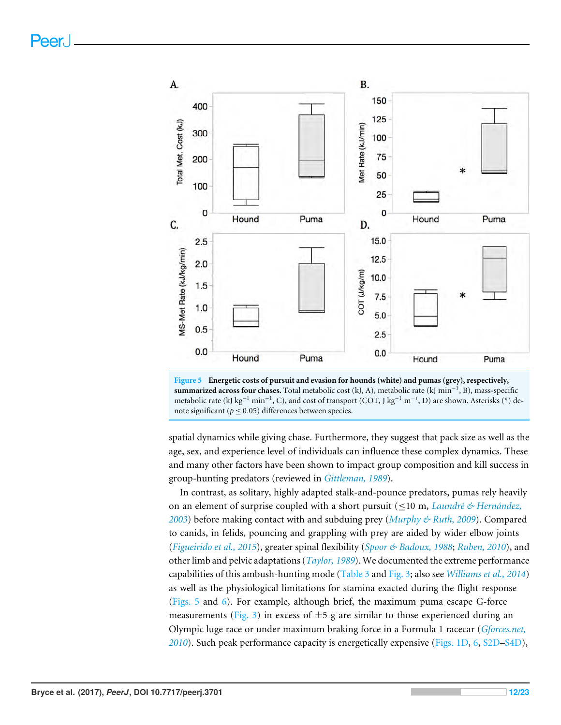<span id="page-11-0"></span>



spatial dynamics while giving chase. Furthermore, they suggest that pack size as well as the age, sex, and experience level of individuals can influence these complex dynamics. These and many other factors have been shown to impact group composition and kill success in group-hunting predators (reviewed in *[Gittleman, 1989](#page-17-1)*).

In contrast, as solitary, highly adapted stalk-and-pounce predators, pumas rely heavily on an element of surprise coupled with a short pursuit (≤10 m, *[Laundré & Hernández,](#page-18-5) [2003](#page-18-5)*) before making contact with and subduing prey (*[Murphy & Ruth, 2009](#page-19-12)*). Compared to canids, in felids, pouncing and grappling with prey are aided by wider elbow joints (*[Figueirido et al., 2015](#page-16-11)*), greater spinal flexibility (*[Spoor & Badoux, 1988](#page-21-9)*; *[Ruben, 2010](#page-20-8)*), and other limb and pelvic adaptations (*[Taylor, 1989](#page-21-10)*). We documented the extreme performance capabilities of this ambush-hunting mode [\(Table 3](#page-7-0) and [Fig. 3;](#page-9-0) also see *[Williams et al., 2014](#page-22-2)*) as well as the physiological limitations for stamina exacted during the flight response [\(Figs. 5](#page-11-0) and [6\)](#page-12-0). For example, although brief, the maximum puma escape G-force measurements [\(Fig. 3\)](#page-9-0) in excess of  $\pm 5$  g are similar to those experienced during an Olympic luge race or under maximum braking force in a Formula 1 racecar (*[Gforces.net,](#page-17-11) [2010](#page-17-11)*). Such peak performance capacity is energetically expensive [\(Figs. 1D,](#page-6-1) [6,](#page-12-0) [S2D–](http://dx.doi.org/10.7717/peerj.3701#supp-4)[S4D\)](http://dx.doi.org/10.7717/peerj.3701#supp-6),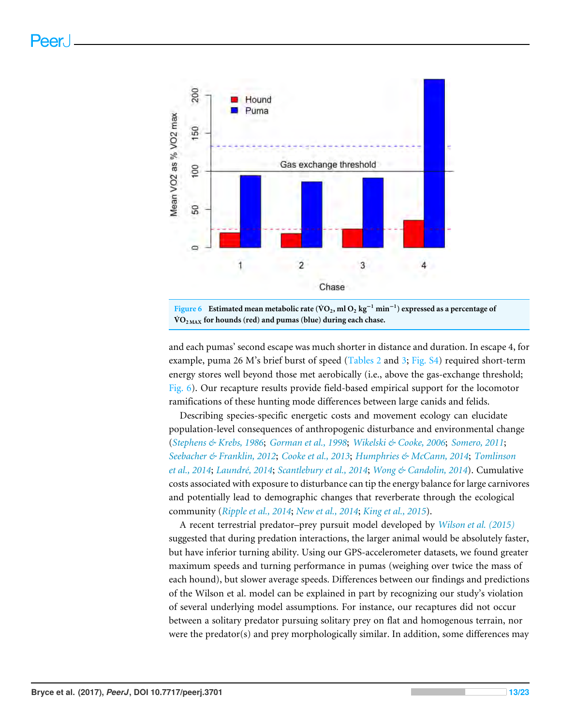<span id="page-12-0"></span>



and each pumas' second escape was much shorter in distance and duration. In escape 4, for example, puma 26 M's brief burst of speed [\(Tables 2](#page-6-0) and [3;](#page-7-0) [Fig. S4\)](http://dx.doi.org/10.7717/peerj.3701#supp-6) required short-term energy stores well beyond those met aerobically (i.e., above the gas-exchange threshold; [Fig. 6\)](#page-12-0). Our recapture results provide field-based empirical support for the locomotor ramifications of these hunting mode differences between large canids and felids.

Describing species-specific energetic costs and movement ecology can elucidate population-level consequences of anthropogenic disturbance and environmental change (*[Stephens & Krebs, 1986](#page-21-11)*; *[Gorman et al., 1998](#page-17-12)*; *[Wikelski & Cooke, 2006](#page-22-10)*; *[Somero, 2011](#page-21-12)*; *[Seebacher & Franklin, 2012](#page-20-9)*; *[Cooke et al., 2013](#page-16-12)*; *[Humphries & McCann, 2014](#page-17-13)*; *[Tomlinson](#page-21-13) [et al., 2014](#page-21-13)*; *[Laundré, 2014](#page-18-10)*; *[Scantlebury et al., 2014](#page-20-10)*; *[Wong & Candolin, 2014](#page-22-11)*). Cumulative costs associated with exposure to disturbance can tip the energy balance for large carnivores and potentially lead to demographic changes that reverberate through the ecological community (*[Ripple et al., 2014](#page-20-11)*; *[New et al., 2014](#page-19-14)*; *[King et al., 2015](#page-18-11)*).

A recent terrestrial predator–prey pursuit model developed by *[Wilson et al. \(2015\)](#page-22-5)* suggested that during predation interactions, the larger animal would be absolutely faster, but have inferior turning ability. Using our GPS-accelerometer datasets, we found greater maximum speeds and turning performance in pumas (weighing over twice the mass of each hound), but slower average speeds. Differences between our findings and predictions of the Wilson et al. model can be explained in part by recognizing our study's violation of several underlying model assumptions. For instance, our recaptures did not occur between a solitary predator pursuing solitary prey on flat and homogenous terrain, nor were the predator(s) and prey morphologically similar. In addition, some differences may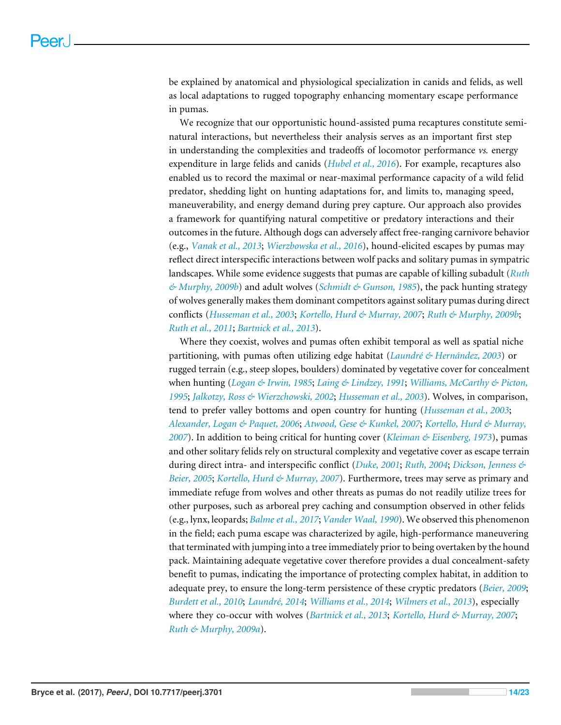be explained by anatomical and physiological specialization in canids and felids, as well as local adaptations to rugged topography enhancing momentary escape performance in pumas.

We recognize that our opportunistic hound-assisted puma recaptures constitute seminatural interactions, but nevertheless their analysis serves as an important first step in understanding the complexities and tradeoffs of locomotor performance *vs.* energy expenditure in large felids and canids (*[Hubel et al., 2016](#page-17-14)*). For example, recaptures also enabled us to record the maximal or near-maximal performance capacity of a wild felid predator, shedding light on hunting adaptations for, and limits to, managing speed, maneuverability, and energy demand during prey capture. Our approach also provides a framework for quantifying natural competitive or predatory interactions and their outcomes in the future. Although dogs can adversely affect free-ranging carnivore behavior (e.g., *[Vanak et al., 2013](#page-21-14)*; *[Wierzbowska et al., 2016](#page-22-12)*), hound-elicited escapes by pumas may reflect direct interspecific interactions between wolf packs and solitary pumas in sympatric landscapes. While some evidence suggests that pumas are capable of killing subadult (*[Ruth](#page-20-12) [& Murphy, 2009b](#page-20-12)*) and adult wolves (*[Schmidt & Gunson, 1985](#page-20-13)*), the pack hunting strategy of wolves generally makes them dominant competitors against solitary pumas during direct conflicts (*[Husseman et al., 2003](#page-17-3)*; *[Kortello, Hurd & Murray, 2007](#page-18-12)*; *[Ruth & Murphy, 2009b](#page-20-12)*; *[Ruth et al., 2011](#page-20-2)*; *[Bartnick et al., 2013](#page-15-4)*).

Where they coexist, wolves and pumas often exhibit temporal as well as spatial niche partitioning, with pumas often utilizing edge habitat (*[Laundré & Hernández, 2003](#page-18-5)*) or rugged terrain (e.g., steep slopes, boulders) dominated by vegetative cover for concealment when hunting (*[Logan & Irwin, 1985](#page-18-13)*; *[Laing & Lindzey, 1991](#page-18-14)*; *[Williams, McCarthy & Picton,](#page-22-13) [1995](#page-22-13)*; *[Jalkotzy, Ross & Wierzchowski, 2002](#page-18-15)*; *[Husseman et al., 2003](#page-17-3)*). Wolves, in comparison, tend to prefer valley bottoms and open country for hunting (*[Husseman et al., 2003](#page-17-3)*; *[Alexander, Logan & Paquet, 2006](#page-15-0)*; *[Atwood, Gese & Kunkel, 2007](#page-15-5)*; *[Kortello, Hurd & Murray,](#page-18-12) [2007](#page-18-12)*). In addition to being critical for hunting cover (*[Kleiman & Eisenberg, 1973](#page-18-16)*), pumas and other solitary felids rely on structural complexity and vegetative cover as escape terrain during direct intra- and interspecific conflict (*[Duke, 2001](#page-16-13)*; *[Ruth, 2004](#page-20-14)*; *[Dickson, Jenness &](#page-16-14) [Beier, 2005](#page-16-14)*; *[Kortello, Hurd & Murray, 2007](#page-18-12)*). Furthermore, trees may serve as primary and immediate refuge from wolves and other threats as pumas do not readily utilize trees for other purposes, such as arboreal prey caching and consumption observed in other felids (e.g., lynx, leopards; *[Balme et al., 2017](#page-15-6)*; *[Vander Waal, 1990](#page-21-15)*). We observed this phenomenon in the field; each puma escape was characterized by agile, high-performance maneuvering that terminated with jumping into a tree immediately prior to being overtaken by the hound pack. Maintaining adequate vegetative cover therefore provides a dual concealment-safety benefit to pumas, indicating the importance of protecting complex habitat, in addition to adequate prey, to ensure the long-term persistence of these cryptic predators (*[Beier, 2009](#page-15-7)*; *[Burdett et al., 2010](#page-16-15)*; *[Laundré, 2014](#page-18-10)*; *[Williams et al., 2014](#page-22-2)*; *[Wilmers et al., 2013](#page-22-8)*), especially where they co-occur with wolves (*[Bartnick et al., 2013](#page-15-4)*; *[Kortello, Hurd & Murray, 2007](#page-18-12)*; *[Ruth & Murphy, 2009a](#page-20-0)*).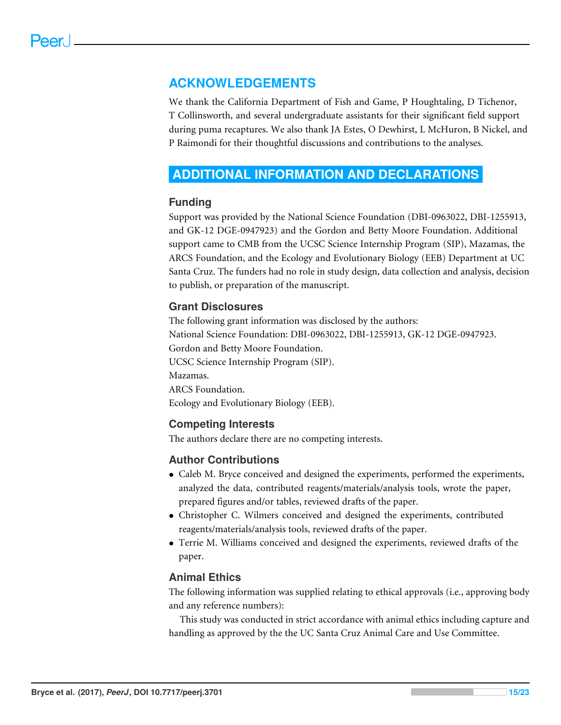#### **ACKNOWLEDGEMENTS**

We thank the California Department of Fish and Game, P Houghtaling, D Tichenor, T Collinsworth, and several undergraduate assistants for their significant field support during puma recaptures. We also thank JA Estes, O Dewhirst, L McHuron, B Nickel, and P Raimondi for their thoughtful discussions and contributions to the analyses.

### <span id="page-14-0"></span>**ADDITIONAL INFORMATION AND DECLARATIONS**

#### **Funding**

Support was provided by the National Science Foundation (DBI-0963022, DBI-1255913, and GK-12 DGE-0947923) and the Gordon and Betty Moore Foundation. Additional support came to CMB from the UCSC Science Internship Program (SIP), Mazamas, the ARCS Foundation, and the Ecology and Evolutionary Biology (EEB) Department at UC Santa Cruz. The funders had no role in study design, data collection and analysis, decision to publish, or preparation of the manuscript.

#### **Grant Disclosures**

The following grant information was disclosed by the authors: National Science Foundation: DBI-0963022, DBI-1255913, GK-12 DGE-0947923. Gordon and Betty Moore Foundation. UCSC Science Internship Program (SIP). Mazamas. ARCS Foundation. Ecology and Evolutionary Biology (EEB).

#### **Competing Interests**

The authors declare there are no competing interests.

#### **Author Contributions**

- [Caleb M. Bryce](#page-0-3) conceived and designed the experiments, performed the experiments, analyzed the data, contributed reagents/materials/analysis tools, wrote the paper, prepared figures and/or tables, reviewed drafts of the paper.
- [Christopher C. Wilmers](#page-0-4) conceived and designed the experiments, contributed reagents/materials/analysis tools, reviewed drafts of the paper.
- [Terrie M. Williams](#page-0-5) conceived and designed the experiments, reviewed drafts of the paper.

#### **Animal Ethics**

The following information was supplied relating to ethical approvals (i.e., approving body and any reference numbers):

This study was conducted in strict accordance with animal ethics including capture and handling as approved by the the UC Santa Cruz Animal Care and Use Committee.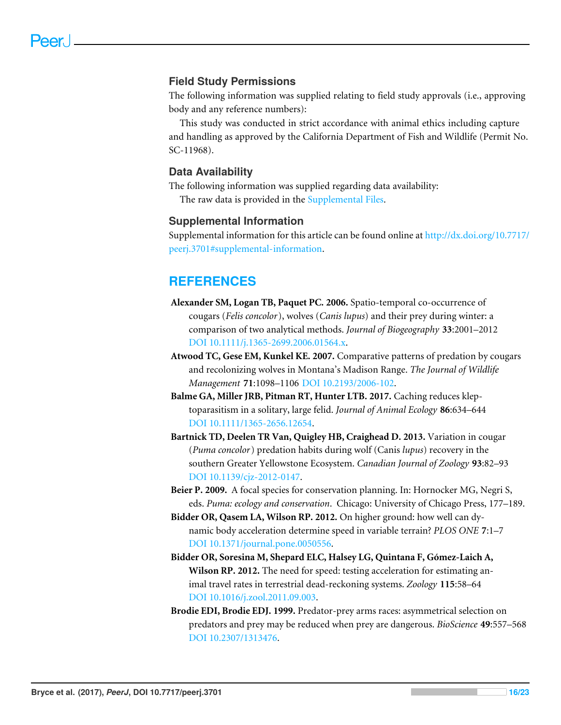#### **Field Study Permissions**

The following information was supplied relating to field study approvals (i.e., approving body and any reference numbers):

This study was conducted in strict accordance with animal ethics including capture and handling as approved by the California Department of Fish and Wildlife (Permit No. SC-11968).

#### **Data Availability**

The following information was supplied regarding data availability:

The raw data is provided in the [Supplemental Files.](http://dx.doi.org/10.7717/peerj.3701#supplemental-information)

#### **Supplemental Information**

Supplemental information for this article can be found online at [http://dx.doi.org/10.7717/](http://dx.doi.org/10.7717/peerj.3701#supplemental-information) [peerj.3701#supplemental-information.](http://dx.doi.org/10.7717/peerj.3701#supplemental-information)

### **REFERENCES**

- <span id="page-15-0"></span>**Alexander SM, Logan TB, Paquet PC. 2006.** Spatio-temporal co-occurrence of cougars (*Felis concolor*), wolves (*Canis lupus*) and their prey during winter: a comparison of two analytical methods. *Journal of Biogeography* **33**:2001–2012 [DOI 10.1111/j.1365-2699.2006.01564.x.](http://dx.doi.org/10.1111/j.1365-2699.2006.01564.x)
- <span id="page-15-5"></span>**Atwood TC, Gese EM, Kunkel KE. 2007.** Comparative patterns of predation by cougars and recolonizing wolves in Montana's Madison Range. *The Journal of Wildlife Management* **71**:1098–1106 [DOI 10.2193/2006-102.](http://dx.doi.org/10.2193/2006-102)
- <span id="page-15-6"></span>**Balme GA, Miller JRB, Pitman RT, Hunter LTB. 2017.** Caching reduces kleptoparasitism in a solitary, large felid. *Journal of Animal Ecology* **86**:634–644 [DOI 10.1111/1365-2656.12654.](http://dx.doi.org/10.1111/1365-2656.12654)
- <span id="page-15-4"></span>**Bartnick TD, Deelen TR Van, Quigley HB, Craighead D. 2013.** Variation in cougar (*Puma concolor*) predation habits during wolf (Canis *lupus*) recovery in the southern Greater Yellowstone Ecosystem. *Canadian Journal of Zoology* **93**:82–93 [DOI 10.1139/cjz-2012-0147.](http://dx.doi.org/10.1139/cjz-2012-0147)
- <span id="page-15-7"></span>**Beier P. 2009.** A focal species for conservation planning. In: Hornocker MG, Negri S, eds. *Puma: ecology and conservation*. Chicago: University of Chicago Press, 177–189.
- <span id="page-15-2"></span>**Bidder OR, Qasem LA, Wilson RP. 2012.** On higher ground: how well can dynamic body acceleration determine speed in variable terrain? *PLOS ONE* **7**:1–7 [DOI 10.1371/journal.pone.0050556.](http://dx.doi.org/10.1371/journal.pone.0050556)
- <span id="page-15-3"></span>**Bidder OR, Soresina M, Shepard ELC, Halsey LG, Quintana F, Gómez-Laich A, Wilson RP. 2012.** The need for speed: testing acceleration for estimating animal travel rates in terrestrial dead-reckoning systems. *Zoology* **115**:58–64 [DOI 10.1016/j.zool.2011.09.003.](http://dx.doi.org/10.1016/j.zool.2011.09.003)
- <span id="page-15-1"></span>**Brodie EDI, Brodie EDJ. 1999.** Predator-prey arms races: asymmetrical selection on predators and prey may be reduced when prey are dangerous. *BioScience* **49**:557–568 [DOI 10.2307/1313476.](http://dx.doi.org/10.2307/1313476)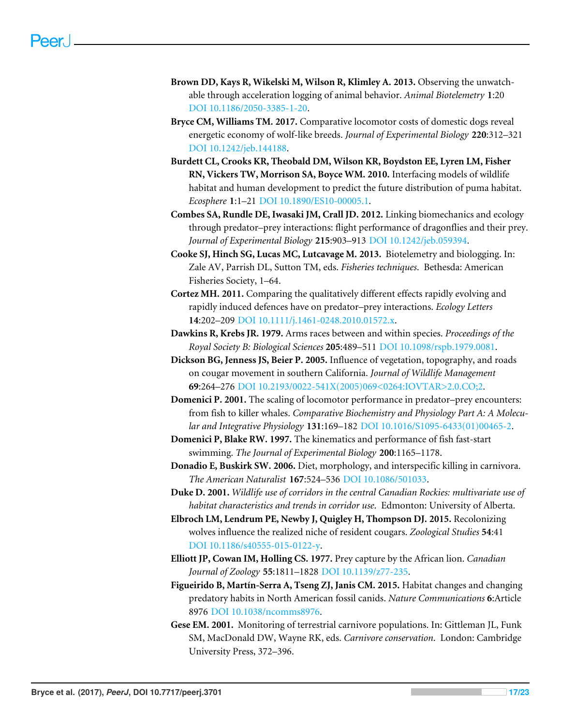- <span id="page-16-10"></span>**Brown DD, Kays R, Wikelski M, Wilson R, Klimley A. 2013.** Observing the unwatchable through acceleration logging of animal behavior. *Animal Biotelemetry* **1**:20 [DOI 10.1186/2050-3385-1-20.](http://dx.doi.org/10.1186/2050-3385-1-20)
- <span id="page-16-9"></span>**Bryce CM, Williams TM. 2017.** Comparative locomotor costs of domestic dogs reveal energetic economy of wolf-like breeds. *Journal of Experimental Biology* **220**:312–321 [DOI 10.1242/jeb.144188.](http://dx.doi.org/10.1242/jeb.144188)
- <span id="page-16-15"></span>**Burdett CL, Crooks KR, Theobald DM, Wilson KR, Boydston EE, Lyren LM, Fisher RN, Vickers TW, Morrison SA, Boyce WM. 2010.** Interfacing models of wildlife habitat and human development to predict the future distribution of puma habitat. *Ecosphere* **1**:1–21 [DOI 10.1890/ES10-00005.1.](http://dx.doi.org/10.1890/ES10-00005.1)
- <span id="page-16-3"></span>**Combes SA, Rundle DE, Iwasaki JM, Crall JD. 2012.** Linking biomechanics and ecology through predator–prey interactions: flight performance of dragonflies and their prey. *Journal of Experimental Biology* **215**:903–913 [DOI 10.1242/jeb.059394.](http://dx.doi.org/10.1242/jeb.059394)
- <span id="page-16-12"></span>**Cooke SJ, Hinch SG, Lucas MC, Lutcavage M. 2013.** Biotelemetry and biologging. In: Zale AV, Parrish DL, Sutton TM, eds. *Fisheries techniques*. Bethesda: American Fisheries Society, 1–64.
- <span id="page-16-5"></span>**Cortez MH. 2011.** Comparing the qualitatively different effects rapidly evolving and rapidly induced defences have on predator–prey interactions. *Ecology Letters* **14**:202–209 [DOI 10.1111/j.1461-0248.2010.01572.x.](http://dx.doi.org/10.1111/j.1461-0248.2010.01572.x)
- <span id="page-16-6"></span>**Dawkins R, Krebs JR. 1979.** Arms races between and within species. *Proceedings of the Royal Society B: Biological Sciences* **205**:489–511 [DOI 10.1098/rspb.1979.0081.](http://dx.doi.org/10.1098/rspb.1979.0081)
- <span id="page-16-14"></span>**Dickson BG, Jenness JS, Beier P. 2005.** Influence of vegetation, topography, and roads on cougar movement in southern California. *Journal of Wildlife Management* **69**:264–276 [DOI 10.2193/0022-541X\(2005\)069<0264:IOVTAR>2.0.CO;2.](http://dx.doi.org/10.2193/0022-541X(2005)069<0264:IOVTAR>2.0.CO;2)
- <span id="page-16-2"></span>**Domenici P. 2001.** The scaling of locomotor performance in predator–prey encounters: from fish to killer whales. *Comparative Biochemistry and Physiology Part A: A Molecular and Integrative Physiology* **131**:169–182 [DOI 10.1016/S1095-6433\(01\)00465-2.](http://dx.doi.org/10.1016/S1095-6433(01)00465-2)
- <span id="page-16-7"></span>**Domenici P, Blake RW. 1997.** The kinematics and performance of fish fast-start swimming. *The Journal of Experimental Biology* **200**:1165–1178.
- <span id="page-16-1"></span>**Donadio E, Buskirk SW. 2006.** Diet, morphology, and interspecific killing in carnivora. *The American Naturalist* **167**:524–536 [DOI 10.1086/501033.](http://dx.doi.org/10.1086/501033)
- <span id="page-16-13"></span>**Duke D. 2001.** *Wildlife use of corridors in the central Canadian Rockies: multivariate use of habitat characteristics and trends in corridor use*. Edmonton: University of Alberta.
- <span id="page-16-0"></span>**Elbroch LM, Lendrum PE, Newby J, Quigley H, Thompson DJ. 2015.** Recolonizing wolves influence the realized niche of resident cougars. *Zoological Studies* **54**:41 [DOI 10.1186/s40555-015-0122-y.](http://dx.doi.org/10.1186/s40555-015-0122-y)
- <span id="page-16-4"></span>**Elliott JP, Cowan IM, Holling CS. 1977.** Prey capture by the African lion. *Canadian Journal of Zoology* **55**:1811–1828 [DOI 10.1139/z77-235.](http://dx.doi.org/10.1139/z77-235)
- <span id="page-16-11"></span>**Figueirido B, Martín-Serra A, Tseng ZJ, Janis CM. 2015.** Habitat changes and changing predatory habits in North American fossil canids. *Nature Communications* **6**:Article 8976 [DOI 10.1038/ncomms8976.](http://dx.doi.org/10.1038/ncomms8976)
- <span id="page-16-8"></span>**Gese EM. 2001.** Monitoring of terrestrial carnivore populations. In: Gittleman JL, Funk SM, MacDonald DW, Wayne RK, eds. *Carnivore conservation*. London: Cambridge University Press, 372–396.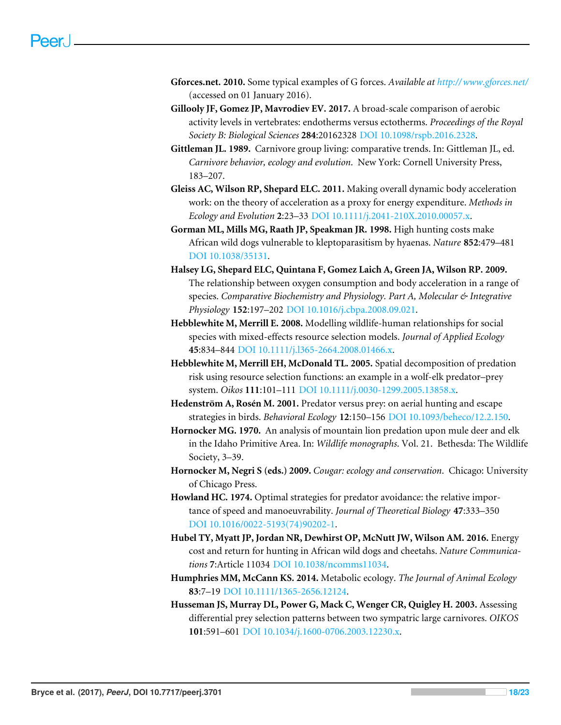- <span id="page-17-11"></span>**Gforces.net. 2010.** Some typical examples of G forces. *Available at <http://www.gforces.net/>* (accessed on 01 January 2016).
- <span id="page-17-10"></span>**Gillooly JF, Gomez JP, Mavrodiev EV. 2017.** A broad-scale comparison of aerobic activity levels in vertebrates: endotherms versus ectotherms. *Proceedings of the Royal Society B: Biological Sciences* **284**:20162328 [DOI 10.1098/rspb.2016.2328.](http://dx.doi.org/10.1098/rspb.2016.2328)
- <span id="page-17-1"></span>**Gittleman JL. 1989.** Carnivore group living: comparative trends. In: Gittleman JL, ed. *Carnivore behavior, ecology and evolution*. New York: Cornell University Press, 183–207.
- <span id="page-17-8"></span>**Gleiss AC, Wilson RP, Shepard ELC. 2011.** Making overall dynamic body acceleration work: on the theory of acceleration as a proxy for energy expenditure. *Methods in Ecology and Evolution* **2**:23–33 [DOI 10.1111/j.2041-210X.2010.00057.x.](http://dx.doi.org/10.1111/j.2041-210X.2010.00057.x)
- <span id="page-17-12"></span>**Gorman ML, Mills MG, Raath JP, Speakman JR. 1998.** High hunting costs make African wild dogs vulnerable to kleptoparasitism by hyaenas. *Nature* **852**:479–481 [DOI 10.1038/35131.](http://dx.doi.org/10.1038/35131)
- <span id="page-17-9"></span>**Halsey LG, Shepard ELC, Quintana F, Gomez Laich A, Green JA, Wilson RP. 2009.** The relationship between oxygen consumption and body acceleration in a range of species. *Comparative Biochemistry and Physiology. Part A, Molecular & Integrative Physiology* **152**:197–202 [DOI 10.1016/j.cbpa.2008.09.021.](http://dx.doi.org/10.1016/j.cbpa.2008.09.021)
- <span id="page-17-4"></span>**Hebblewhite M, Merrill E. 2008.** Modelling wildlife-human relationships for social species with mixed-effects resource selection models. *Journal of Applied Ecology* **45**:834–844 [DOI 10.1111/j.l365-2664.2008.01466.x.](http://dx.doi.org/10.1111/j.l365-2664.2008.01466.x)
- <span id="page-17-5"></span>**Hebblewhite M, Merrill EH, McDonald TL. 2005.** Spatial decomposition of predation risk using resource selection functions: an example in a wolf-elk predator–prey system. *Oikos* **111**:101–111 [DOI 10.1111/j.0030-1299.2005.13858.x.](http://dx.doi.org/10.1111/j.0030-1299.2005.13858.x)
- <span id="page-17-7"></span>**Hedenström A, Rosén M. 2001.** Predator versus prey: on aerial hunting and escape strategies in birds. *Behavioral Ecology* **12**:150–156 [DOI 10.1093/beheco/12.2.150.](http://dx.doi.org/10.1093/beheco/12.2.150)
- <span id="page-17-0"></span>**Hornocker MG. 1970.** An analysis of mountain lion predation upon mule deer and elk in the Idaho Primitive Area. In: *Wildlife monographs*. Vol. 21. Bethesda: The Wildlife Society, 3–39.
- <span id="page-17-2"></span>**Hornocker M, Negri S (eds.) 2009.** *Cougar: ecology and conservation*. Chicago: University of Chicago Press.
- <span id="page-17-6"></span>**Howland HC. 1974.** Optimal strategies for predator avoidance: the relative importance of speed and manoeuvrability. *Journal of Theoretical Biology* **47**:333–350 [DOI 10.1016/0022-5193\(74\)90202-1.](http://dx.doi.org/10.1016/0022-5193(74)90202-1)
- <span id="page-17-14"></span>**Hubel TY, Myatt JP, Jordan NR, Dewhirst OP, McNutt JW, Wilson AM. 2016.** Energy cost and return for hunting in African wild dogs and cheetahs. *Nature Communications* **7**:Article 11034 [DOI 10.1038/ncomms11034.](http://dx.doi.org/10.1038/ncomms11034)
- <span id="page-17-13"></span>**Humphries MM, McCann KS. 2014.** Metabolic ecology. *The Journal of Animal Ecology* **83**:7–19 [DOI 10.1111/1365-2656.12124.](http://dx.doi.org/10.1111/1365-2656.12124)
- <span id="page-17-3"></span>**Husseman JS, Murray DL, Power G, Mack C, Wenger CR, Quigley H. 2003.** Assessing differential prey selection patterns between two sympatric large carnivores. *OIKOS* **101**:591–601 [DOI 10.1034/j.1600-0706.2003.12230.x.](http://dx.doi.org/10.1034/j.1600-0706.2003.12230.x)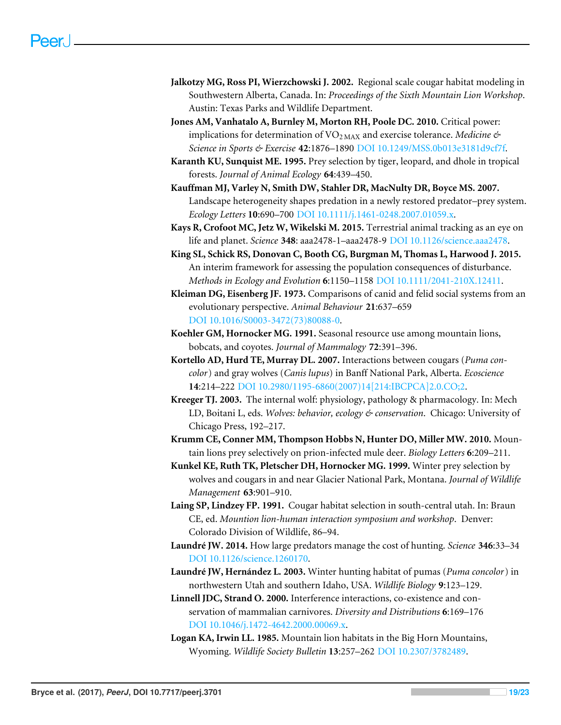- <span id="page-18-15"></span>**Jalkotzy MG, Ross PI, Wierzchowski J. 2002.** Regional scale cougar habitat modeling in Southwestern Alberta, Canada. In: *Proceedings of the Sixth Mountain Lion Workshop*. Austin: Texas Parks and Wildlife Department.
- <span id="page-18-9"></span>**Jones AM, Vanhatalo A, Burnley M, Morton RH, Poole DC. 2010.** Critical power: implications for determination of VO<sub>2 MAX</sub> and exercise tolerance. *Medicine & Science in Sports & Exercise* **42**:1876–1890 [DOI 10.1249/MSS.0b013e3181d9cf7f.](http://dx.doi.org/10.1249/MSS.0b013e3181d9cf7f)
- <span id="page-18-2"></span>**Karanth KU, Sunquist ME. 1995.** Prey selection by tiger, leopard, and dhole in tropical forests. *Journal of Animal Ecology* **64**:439–450.
- <span id="page-18-4"></span>**Kauffman MJ, Varley N, Smith DW, Stahler DR, MacNulty DR, Boyce MS. 2007.** Landscape heterogeneity shapes predation in a newly restored predator–prey system. *Ecology Letters* **10**:690–700 [DOI 10.1111/j.1461-0248.2007.01059.x.](http://dx.doi.org/10.1111/j.1461-0248.2007.01059.x)
- <span id="page-18-7"></span>**Kays R, Crofoot MC, Jetz W, Wikelski M. 2015.** Terrestrial animal tracking as an eye on life and planet. *Science* **348**: aaa2478-1–aaa2478-9 [DOI 10.1126/science.aaa2478.](http://dx.doi.org/10.1126/science.aaa2478)
- <span id="page-18-11"></span>**King SL, Schick RS, Donovan C, Booth CG, Burgman M, Thomas L, Harwood J. 2015.** An interim framework for assessing the population consequences of disturbance. *Methods in Ecology and Evolution* **6**:1150–1158 [DOI 10.1111/2041-210X.12411.](http://dx.doi.org/10.1111/2041-210X.12411)
- <span id="page-18-16"></span>**Kleiman DG, Eisenberg JF. 1973.** Comparisons of canid and felid social systems from an evolutionary perspective. *Animal Behaviour* **21**:637–659 [DOI 10.1016/S0003-3472\(73\)80088-0.](http://dx.doi.org/10.1016/S0003-3472(73)80088-0)
- <span id="page-18-0"></span>**Koehler GM, Hornocker MG. 1991.** Seasonal resource use among mountain lions, bobcats, and coyotes. *Journal of Mammalogy* **72**:391–396.
- <span id="page-18-12"></span>**Kortello AD, Hurd TE, Murray DL. 2007.** Interactions between cougars (*Puma concolor*) and gray wolves (*Canis lupus*) in Banff National Park, Alberta. *Ecoscience* **14**:214–222 [DOI 10.2980/1195-6860\(2007\)14\[214:IBCPCA\]2.0.CO;2.](http://dx.doi.org/10.2980/1195-6860(2007)14[214:IBCPCA]2.0.CO;2)
- <span id="page-18-8"></span>**Kreeger TJ. 2003.** The internal wolf: physiology, pathology & pharmacology. In: Mech LD, Boitani L, eds. *Wolves: behavior, ecology & conservation*. Chicago: University of Chicago Press, 192–217.
- <span id="page-18-3"></span>**Krumm CE, Conner MM, Thompson Hobbs N, Hunter DO, Miller MW. 2010.** Mountain lions prey selectively on prion-infected mule deer. *Biology Letters* **6**:209–211.
- <span id="page-18-1"></span>**Kunkel KE, Ruth TK, Pletscher DH, Hornocker MG. 1999.** Winter prey selection by wolves and cougars in and near Glacier National Park, Montana. *Journal of Wildlife Management* **63**:901–910.
- <span id="page-18-14"></span>**Laing SP, Lindzey FP. 1991.** Cougar habitat selection in south-central utah. In: Braun CE, ed. *Mountion lion-human interaction symposium and workshop*. Denver: Colorado Division of Wildlife, 86–94.
- <span id="page-18-10"></span>**Laundré JW. 2014.** How large predators manage the cost of hunting. *Science* **346**:33–34 [DOI 10.1126/science.1260170.](http://dx.doi.org/10.1126/science.1260170)
- <span id="page-18-5"></span>**Laundré JW, Hernández L. 2003.** Winter hunting habitat of pumas (*Puma concolor*) in northwestern Utah and southern Idaho, USA. *Wildlife Biology* **9**:123–129.
- <span id="page-18-6"></span>**Linnell JDC, Strand O. 2000.** Interference interactions, co-existence and conservation of mammalian carnivores. *Diversity and Distributions* **6**:169–176 [DOI 10.1046/j.1472-4642.2000.00069.x.](http://dx.doi.org/10.1046/j.1472-4642.2000.00069.x)
- <span id="page-18-13"></span>**Logan KA, Irwin LL. 1985.** Mountain lion habitats in the Big Horn Mountains, Wyoming. *Wildlife Society Bulletin* **13**:257–262 [DOI 10.2307/3782489.](http://dx.doi.org/10.2307/3782489)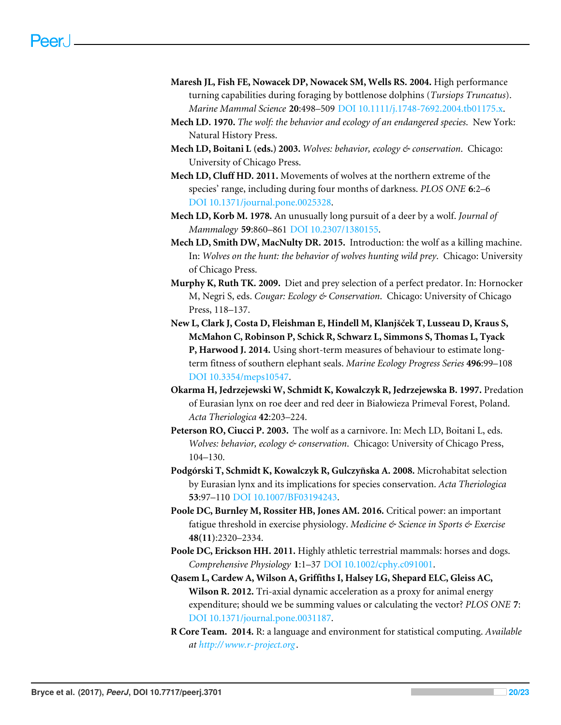- <span id="page-19-9"></span>**Maresh JL, Fish FE, Nowacek DP, Nowacek SM, Wells RS. 2004.** High performance turning capabilities during foraging by bottlenose dolphins (*Tursiops Truncatus*). *Marine Mammal Science* **20**:498–509 [DOI 10.1111/j.1748-7692.2004.tb01175.x.](http://dx.doi.org/10.1111/j.1748-7692.2004.tb01175.x)
- <span id="page-19-0"></span>**Mech LD. 1970.** *The wolf: the behavior and ecology of an endangered species*. New York: Natural History Press.
- <span id="page-19-7"></span>**Mech LD, Boitani L (eds.) 2003.** *Wolves: behavior, ecology & conservation*. Chicago: University of Chicago Press.
- <span id="page-19-4"></span>**Mech LD, Cluff HD. 2011.** Movements of wolves at the northern extreme of the species' range, including during four months of darkness. *PLOS ONE* **6**:2–6 [DOI 10.1371/journal.pone.0025328.](http://dx.doi.org/10.1371/journal.pone.0025328)
- <span id="page-19-3"></span>**Mech LD, Korb M. 1978.** An unusually long pursuit of a deer by a wolf. *Journal of Mammalogy* **59**:860–861 [DOI 10.2307/1380155.](http://dx.doi.org/10.2307/1380155)
- <span id="page-19-1"></span>**Mech LD, Smith DW, MacNulty DR. 2015.** Introduction: the wolf as a killing machine. In: *Wolves on the hunt: the behavior of wolves hunting wild prey*. Chicago: University of Chicago Press.
- <span id="page-19-12"></span>**Murphy K, Ruth TK. 2009.** Diet and prey selection of a perfect predator. In: Hornocker M, Negri S, eds. *Cougar: Ecology & Conservation*. Chicago: University of Chicago Press, 118–137.
- <span id="page-19-14"></span>**New L, Clark J, Costa D, Fleishman E, Hindell M, Klanjšček T, Lusseau D, Kraus S, McMahon C, Robinson P, Schick R, Schwarz L, Simmons S, Thomas L, Tyack P, Harwood J. 2014.** Using short-term measures of behaviour to estimate longterm fitness of southern elephant seals. *Marine Ecology Progress Series* **496**:99–108 [DOI 10.3354/meps10547.](http://dx.doi.org/10.3354/meps10547)
- <span id="page-19-5"></span>**Okarma H, Jedrzejewski W, Schmidt K, Kowalczyk R, Jedrzejewska B. 1997.** Predation of Eurasian lynx on roe deer and red deer in Białowieza Primeval Forest, Poland. *Acta Theriologica* **42**:203–224.
- <span id="page-19-6"></span>**Peterson RO, Ciucci P. 2003.** The wolf as a carnivore. In: Mech LD, Boitani L, eds. *Wolves: behavior, ecology & conservation*. Chicago: University of Chicago Press, 104–130.
- <span id="page-19-8"></span>**Podgórski T, Schmidt K, Kowalczyk R, Gulczyñska A. 2008.** Microhabitat selection by Eurasian lynx and its implications for species conservation. *Acta Theriologica* **53**:97–110 [DOI 10.1007/BF03194243.](http://dx.doi.org/10.1007/BF03194243)
- <span id="page-19-13"></span>**Poole DC, Burnley M, Rossiter HB, Jones AM. 2016.** Critical power: an important fatigue threshold in exercise physiology. *Medicine & Science in Sports & Exercise* **48(11)**:2320–2334.
- <span id="page-19-2"></span>**Poole DC, Erickson HH. 2011.** Highly athletic terrestrial mammals: horses and dogs. *Comprehensive Physiology* **1**:1–37 [DOI 10.1002/cphy.c091001.](http://dx.doi.org/10.1002/cphy.c091001)
- <span id="page-19-10"></span>**Qasem L, Cardew A, Wilson A, Griffiths I, Halsey LG, Shepard ELC, Gleiss AC, Wilson R. 2012.** Tri-axial dynamic acceleration as a proxy for animal energy expenditure; should we be summing values or calculating the vector? *PLOS ONE* **7**: [DOI 10.1371/journal.pone.0031187.](http://dx.doi.org/10.1371/journal.pone.0031187)
- <span id="page-19-11"></span>**R Core Team. 2014.** R: a language and environment for statistical computing. *Available at <http://www.r-project.org>* .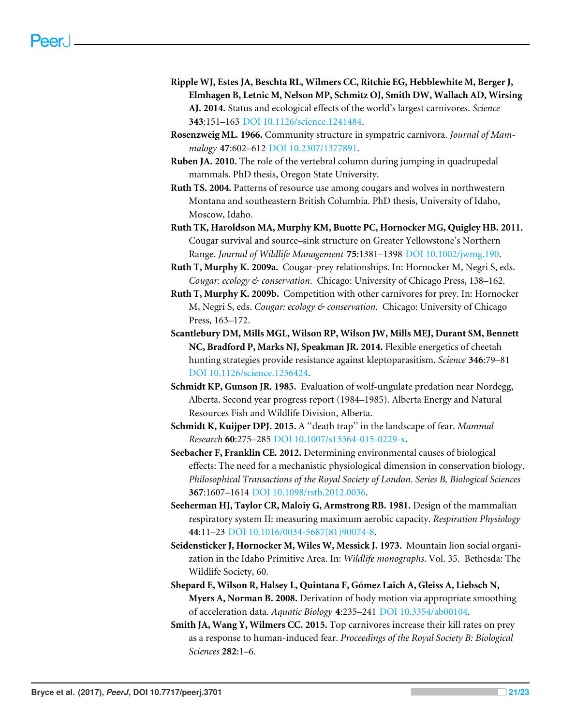- <span id="page-20-11"></span>**Ripple WJ, Estes JA, Beschta RL, Wilmers CC, Ritchie EG, Hebblewhite M, Berger J, Elmhagen B, Letnic M, Nelson MP, Schmitz OJ, Smith DW, Wallach AD, Wirsing AJ. 2014.** Status and ecological effects of the world's largest carnivores. *Science* **343**:151–163 [DOI 10.1126/science.1241484.](http://dx.doi.org/10.1126/science.1241484)
- <span id="page-20-4"></span>**Rosenzweig ML. 1966.** Community structure in sympatric carnivora. *Journal of Mammalogy* **47**:602–612 [DOI 10.2307/1377891.](http://dx.doi.org/10.2307/1377891)
- <span id="page-20-8"></span>**Ruben JA. 2010.** The role of the vertebral column during jumping in quadrupedal mammals. PhD thesis, Oregon State University.
- <span id="page-20-14"></span>**Ruth TS. 2004.** Patterns of resource use among cougars and wolves in northwestern Montana and southeastern British Columbia. PhD thesis, University of Idaho, Moscow, Idaho.
- <span id="page-20-2"></span>**Ruth TK, Haroldson MA, Murphy KM, Buotte PC, Hornocker MG, Quigley HB. 2011.** Cougar survival and source–sink structure on Greater Yellowstone's Northern Range. *Journal of Wildlife Management* **75**:1381–1398 [DOI 10.1002/jwmg.190.](http://dx.doi.org/10.1002/jwmg.190)
- <span id="page-20-0"></span>**Ruth T, Murphy K. 2009a.** Cougar-prey relationships. In: Hornocker M, Negri S, eds. *Cougar: ecology & conservation*. Chicago: University of Chicago Press, 138–162.
- <span id="page-20-12"></span>**Ruth T, Murphy K. 2009b.** Competition with other carnivores for prey. In: Hornocker M, Negri S, eds. *Cougar: ecology & conservation*. Chicago: University of Chicago Press, 163–172.
- <span id="page-20-10"></span>**Scantlebury DM, Mills MGL, Wilson RP, Wilson JW, Mills MEJ, Durant SM, Bennett NC, Bradford P, Marks NJ, Speakman JR. 2014.** Flexible energetics of cheetah hunting strategies provide resistance against kleptoparasitism. *Science* **346**:79–81 [DOI 10.1126/science.1256424.](http://dx.doi.org/10.1126/science.1256424)
- <span id="page-20-13"></span>**Schmidt KP, Gunson JR. 1985.** Evaluation of wolf-ungulate predation near Nordegg, Alberta. Second year progress report (1984–1985). Alberta Energy and Natural Resources Fish and Wildlife Division, Alberta.
- <span id="page-20-3"></span>**Schmidt K, Kuijper DPJ. 2015.** A ''death trap'' in the landscape of fear. *Mammal Research* **60**:275–285 [DOI 10.1007/s13364-015-0229-x.](http://dx.doi.org/10.1007/s13364-015-0229-x)
- <span id="page-20-9"></span>**Seebacher F, Franklin CE. 2012.** Determining environmental causes of biological effects: The need for a mechanistic physiological dimension in conservation biology. *Philosophical Transactions of the Royal Society of London. Series B, Biological Sciences* **367**:1607–1614 [DOI 10.1098/rstb.2012.0036.](http://dx.doi.org/10.1098/rstb.2012.0036)
- <span id="page-20-7"></span>**Seeherman HJ, Taylor CR, Maloiy G, Armstrong RB. 1981.** Design of the mammalian respiratory system II: measuring maximum aerobic capacity. *Respiration Physiology* **44**:11–23 [DOI 10.1016/0034-5687\(81\)90074-8.](http://dx.doi.org/10.1016/0034-5687(81)90074-8)
- <span id="page-20-1"></span>**Seidensticker J, Hornocker M, Wiles W, Messick J. 1973.** Mountain lion social organization in the Idaho Primitive Area. In: *Wildlife monographs*. Vol. 35. Bethesda: The Wildlife Society, 60.
- <span id="page-20-6"></span>**Shepard E, Wilson R, Halsey L, Quintana F, Gómez Laich A, Gleiss A, Liebsch N, Myers A, Norman B. 2008.** Derivation of body motion via appropriate smoothing of acceleration data. *Aquatic Biology* **4**:235–241 [DOI 10.3354/ab00104.](http://dx.doi.org/10.3354/ab00104)
- <span id="page-20-5"></span>**Smith JA, Wang Y, Wilmers CC. 2015.** Top carnivores increase their kill rates on prey as a response to human-induced fear. *Proceedings of the Royal Society B: Biological Sciences* **282**:1–6.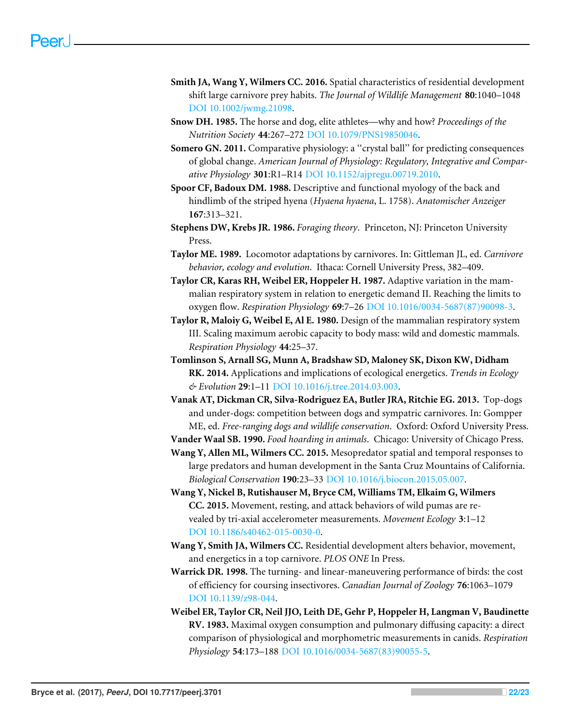- <span id="page-21-4"></span>**Smith JA, Wang Y, Wilmers CC. 2016.** Spatial characteristics of residential development shift large carnivore prey habits. *The Journal of Wildlife Management* **80**:1040–1048 [DOI 10.1002/jwmg.21098.](http://dx.doi.org/10.1002/jwmg.21098)
- <span id="page-21-0"></span>**Snow DH. 1985.** The horse and dog, elite athletes—why and how? *Proceedings of the Nutrition Society* **44**:267–272 [DOI 10.1079/PNS19850046.](http://dx.doi.org/10.1079/PNS19850046)
- <span id="page-21-12"></span>**Somero GN. 2011.** Comparative physiology: a ''crystal ball'' for predicting consequences of global change. *American Journal of Physiology: Regulatory, Integrative and Comparative Physiology* **301**:R1–R14 [DOI 10.1152/ajpregu.00719.2010.](http://dx.doi.org/10.1152/ajpregu.00719.2010)
- <span id="page-21-9"></span>**Spoor CF, Badoux DM. 1988.** Descriptive and functional myology of the back and hindlimb of the striped hyena (*Hyaena hyaena*, L. 1758). *Anatomischer Anzeiger* **167**:313–321.
- <span id="page-21-11"></span>**Stephens DW, Krebs JR. 1986.** *Foraging theory*. Princeton, NJ: Princeton University Press.
- <span id="page-21-10"></span>**Taylor ME. 1989.** Locomotor adaptations by carnivores. In: Gittleman JL, ed. *Carnivore behavior, ecology and evolution*. Ithaca: Cornell University Press, 382–409.
- <span id="page-21-8"></span>**Taylor CR, Karas RH, Weibel ER, Hoppeler H. 1987.** Adaptive variation in the mammalian respiratory system in relation to energetic demand II. Reaching the limits to oxygen flow. *Respiration Physiology* **69**:7–26 [DOI 10.1016/0034-5687\(87\)90098-3.](http://dx.doi.org/10.1016/0034-5687(87)90098-3)
- <span id="page-21-5"></span>**Taylor R, Maloiy G, Weibel E, Al E. 1980.** Design of the mammalian respiratory system III. Scaling maximum aerobic capacity to body mass: wild and domestic mammals. *Respiration Physiology* **44**:25–37.
- <span id="page-21-13"></span>**Tomlinson S, Arnall SG, Munn A, Bradshaw SD, Maloney SK, Dixon KW, Didham RK. 2014.** Applications and implications of ecological energetics. *Trends in Ecology & Evolution* **29**:1–11 [DOI 10.1016/j.tree.2014.03.003.](http://dx.doi.org/10.1016/j.tree.2014.03.003)
- <span id="page-21-14"></span>**Vanak AT, Dickman CR, Silva-Rodriguez EA, Butler JRA, Ritchie EG. 2013.** Top-dogs and under-dogs: competition between dogs and sympatric carnivores. In: Gompper ME, ed. *Free-ranging dogs and wildlife conservation*. Oxford: Oxford University Press.

<span id="page-21-15"></span>**Vander Waal SB. 1990.** *Food hoarding in animals*. Chicago: University of Chicago Press.

- <span id="page-21-2"></span>**Wang Y, Allen ML, Wilmers CC. 2015.** Mesopredator spatial and temporal responses to large predators and human development in the Santa Cruz Mountains of California. *Biological Conservation* **190**:23–33 [DOI 10.1016/j.biocon.2015.05.007.](http://dx.doi.org/10.1016/j.biocon.2015.05.007)
- <span id="page-21-7"></span>**Wang Y, Nickel B, Rutishauser M, Bryce CM, Williams TM, Elkaim G, Wilmers CC. 2015.** Movement, resting, and attack behaviors of wild pumas are revealed by tri-axial accelerometer measurements. *Movement Ecology* **3**:1–12 [DOI 10.1186/s40462-015-0030-0.](http://dx.doi.org/10.1186/s40462-015-0030-0)
- <span id="page-21-3"></span>**Wang Y, Smith JA, Wilmers CC.** Residential development alters behavior, movement, and energetics in a top carnivore. *PLOS ONE* In Press.
- <span id="page-21-1"></span>**Warrick DR. 1998.** The turning- and linear-maneuvering performance of birds: the cost of efficiency for coursing insectivores. *Canadian Journal of Zoology* **76**:1063–1079 [DOI 10.1139/z98-044.](http://dx.doi.org/10.1139/z98-044)
- <span id="page-21-6"></span>**Weibel ER, Taylor CR, Neil JJO, Leith DE, Gehr P, Hoppeler H, Langman V, Baudinette RV. 1983.** Maximal oxygen consumption and pulmonary diffusing capacity: a direct comparison of physiological and morphometric measurements in canids. *Respiration Physiology* **54**:173–188 [DOI 10.1016/0034-5687\(83\)90055-5.](http://dx.doi.org/10.1016/0034-5687(83)90055-5)